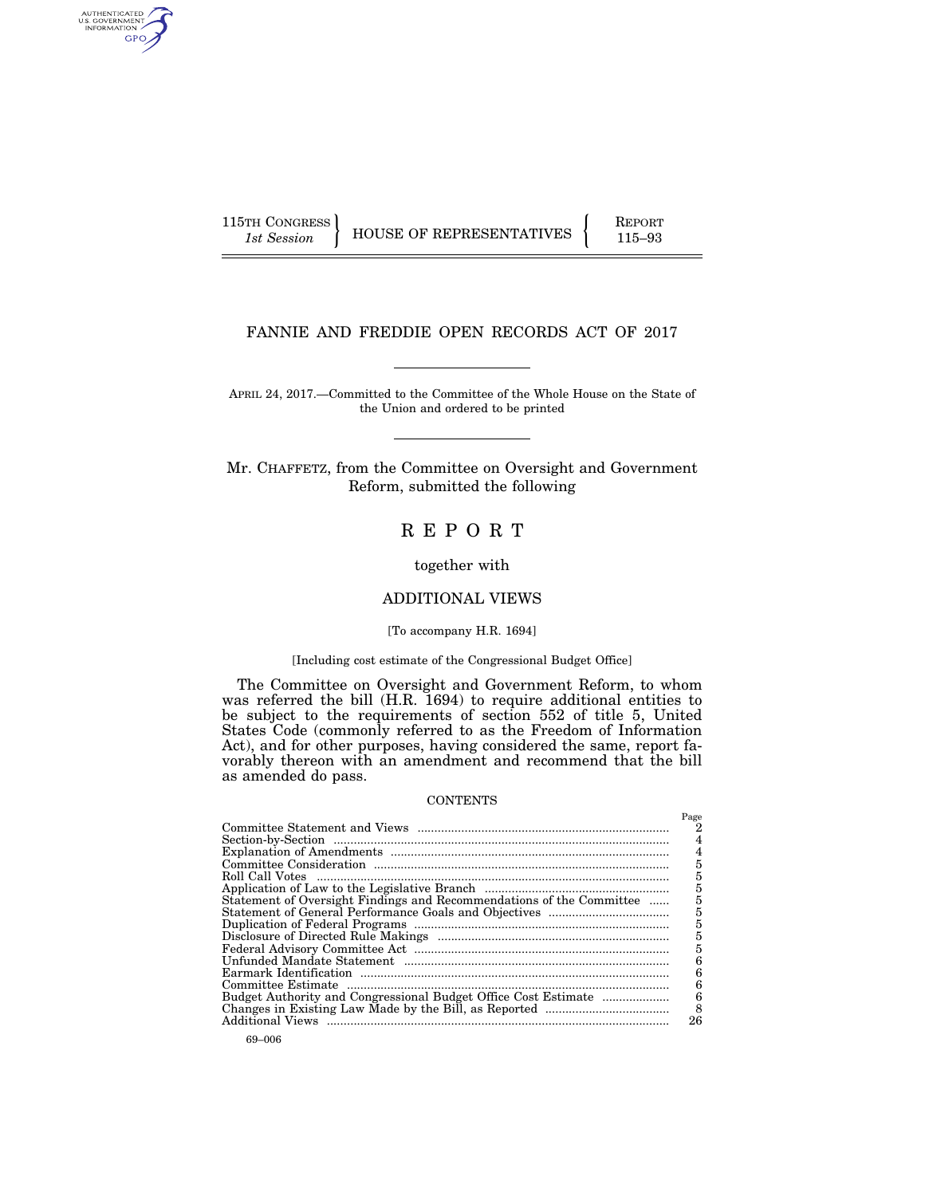AUTHENTICATED<br>U.S. GOVERNMENT<br>INFORMATION GPO

115TH CONGRESS **REPORT 115-93** HOUSE OF REPRESENTATIVES **115–93** 

# FANNIE AND FREDDIE OPEN RECORDS ACT OF 2017

APRIL 24, 2017.—Committed to the Committee of the Whole House on the State of the Union and ordered to be printed

Mr. CHAFFETZ, from the Committee on Oversight and Government Reform, submitted the following

# R E P O R T

together with

# ADDITIONAL VIEWS

#### [To accompany H.R. 1694]

#### [Including cost estimate of the Congressional Budget Office]

The Committee on Oversight and Government Reform, to whom was referred the bill (H.R. 1694) to require additional entities to be subject to the requirements of section 552 of title 5, United States Code (commonly referred to as the Freedom of Information Act), and for other purposes, having considered the same, report favorably thereon with an amendment and recommend that the bill as amended do pass.

#### CONTENTS

|                                                                      | Page |
|----------------------------------------------------------------------|------|
|                                                                      | 2    |
|                                                                      |      |
|                                                                      |      |
|                                                                      | 5    |
|                                                                      | 5    |
|                                                                      | 5    |
| Statement of Oversight Findings and Recommendations of the Committee | 5    |
|                                                                      | 5    |
|                                                                      | 5    |
|                                                                      | 5    |
|                                                                      | 5    |
|                                                                      | 6    |
|                                                                      | 6    |
|                                                                      | 6    |
|                                                                      | 6    |
|                                                                      | 8    |
|                                                                      | 26   |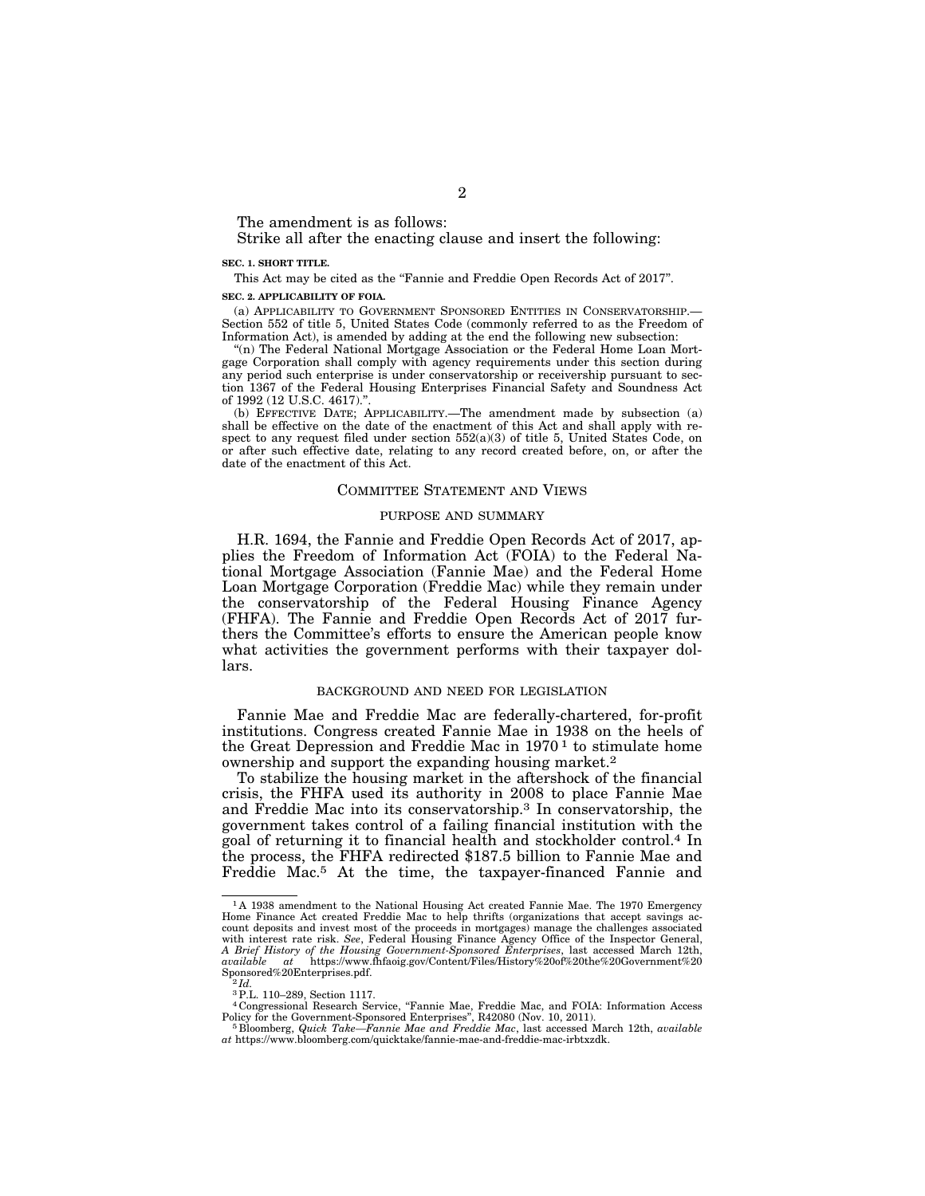The amendment is as follows:

Strike all after the enacting clause and insert the following:

#### **SEC. 1. SHORT TITLE.**

This Act may be cited as the "Fannie and Freddie Open Records Act of 2017". **SEC. 2. APPLICABILITY OF FOIA.** 

(a) APPLICABILITY TO GOVERNMENT SPONSORED ENTITIES IN CONSERVATORSHIP.— Section 552 of title 5, United States Code (commonly referred to as the Freedom of Information Act), is amended by adding at the end the following new subsection:

"(n) The Federal National Mortgage Association or the Federal Home Loan Mortgage Corporation shall comply with agency requirements under this section during any period such enterprise is under conservatorship or receivership pursuant to section 1367 of the Federal Housing Enterprises Financial Safety and Soundness Act of 1992 (12 U.S.C. 4617).'

(b) EFFECTIVE DATE; APPLICABILITY.—The amendment made by subsection (a) shall be effective on the date of the enactment of this Act and shall apply with respect to any request filed under section 552(a)(3) of title 5, United States Code, on or after such effective date, relating to any record created before, on, or after the date of the enactment of this Act.

#### COMMITTEE STATEMENT AND VIEWS

#### PURPOSE AND SUMMARY

H.R. 1694, the Fannie and Freddie Open Records Act of 2017, applies the Freedom of Information Act (FOIA) to the Federal National Mortgage Association (Fannie Mae) and the Federal Home Loan Mortgage Corporation (Freddie Mac) while they remain under the conservatorship of the Federal Housing Finance Agency (FHFA). The Fannie and Freddie Open Records Act of 2017 furthers the Committee's efforts to ensure the American people know what activities the government performs with their taxpayer dollars.

#### BACKGROUND AND NEED FOR LEGISLATION

Fannie Mae and Freddie Mac are federally-chartered, for-profit institutions. Congress created Fannie Mae in 1938 on the heels of the Great Depression and Freddie Mac in 1970<sup>1</sup> to stimulate home ownership and support the expanding housing market.2

To stabilize the housing market in the aftershock of the financial crisis, the FHFA used its authority in 2008 to place Fannie Mae and Freddie Mac into its conservatorship.3 In conservatorship, the government takes control of a failing financial institution with the goal of returning it to financial health and stockholder control.4 In the process, the FHFA redirected \$187.5 billion to Fannie Mae and Freddie Mac.5 At the time, the taxpayer-financed Fannie and

<sup>&</sup>lt;sup>1</sup>A 1938 amendment to the National Housing Act created Fannie Mae. The 1970 Emergency Home Finance Act created Freddie Mac to help thrifts (organizations that accept savings account deposits and invest most of the proceeds in mortgages) manage the challenges associated with interest rate risk. *See*, Federal Housing Finance Agency Office of the Inspector General, *A Brief History of the Housing Government-Sponsored Enterprises*, last accessed March 12th, *available at* https://www.fhfaoig.gov/Content/Files/History%20of%20the%20Government%20 Sponsored%20Enterprises.pdf. 2 *Id.* 

<sup>3</sup>P.L. 110–289, Section 1117.

<sup>4</sup> Congressional Research Service, ''Fannie Mae, Freddie Mac, and FOIA: Information Access Policy for the Government-Sponsored Enterprises'', R42080 (Nov. 10, 2011). 5 Bloomberg, *Quick Take—Fannie Mae and Freddie Mac*, last accessed March 12th, *available* 

*at* https://www.bloomberg.com/quicktake/fannie-mae-and-freddie-mac-irbtxzdk.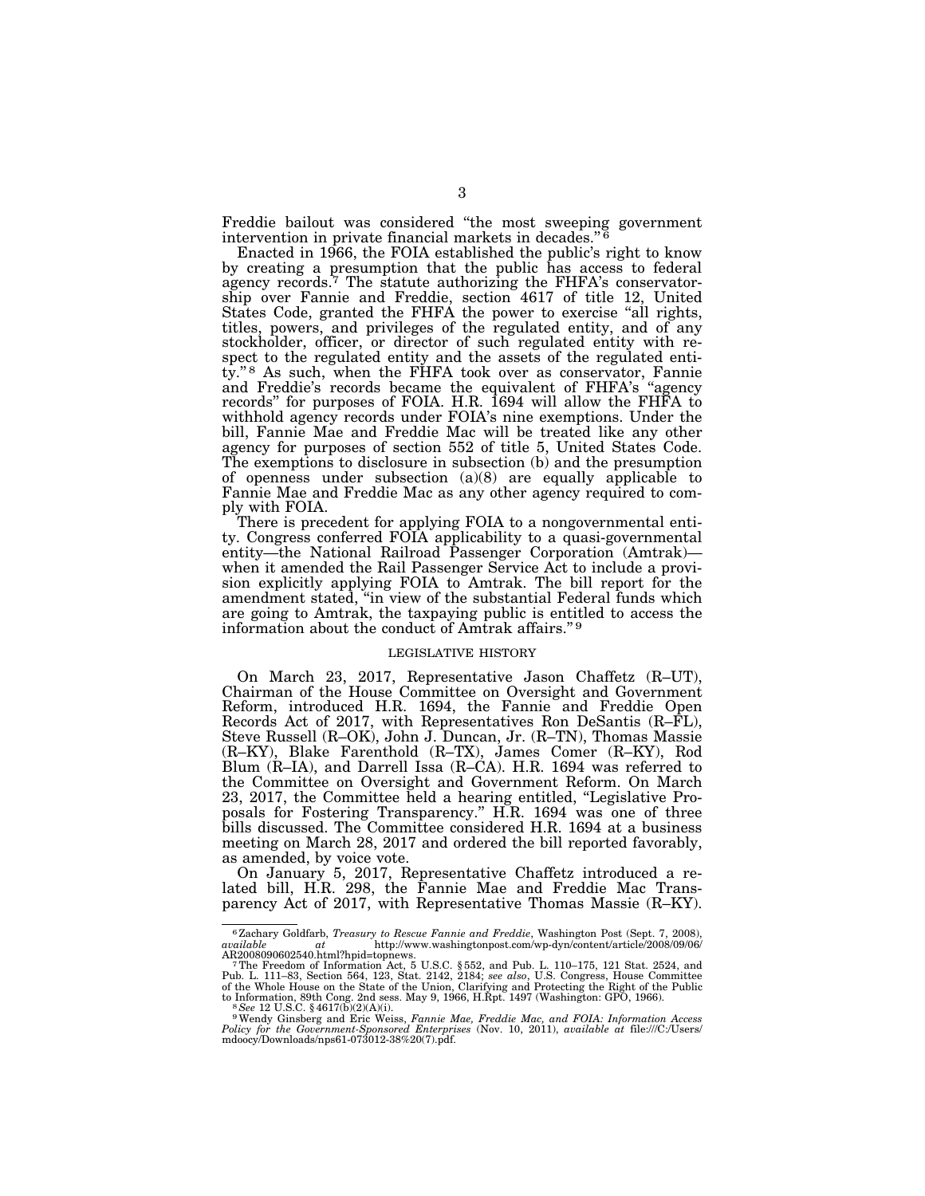Freddie bailout was considered ''the most sweeping government intervention in private financial markets in decades."<sup>6</sup>

Enacted in 1966, the FOIA established the public's right to know by creating a presumption that the public has access to federal agency records.<sup>7</sup> The statute authorizing the FHFA's conservatorship over Fannie and Freddie, section 4617 of title 12, United States Code, granted the FHFA the power to exercise "all rights, titles, powers, and privileges of the regulated entity, and of any stockholder, officer, or director of such regulated entity with respect to the regulated entity and the assets of the regulated entity."<sup>8</sup> As such, when the FHFA took over as conservator, Fannie and Freddie's records became the equivalent of FHFA's ''agency records" for purposes of FOIA. H.R. 1694 will allow the FHFA to withhold agency records under FOIA's nine exemptions. Under the bill, Fannie Mae and Freddie Mac will be treated like any other agency for purposes of section 552 of title 5, United States Code. The exemptions to disclosure in subsection (b) and the presumption of openness under subsection (a)(8) are equally applicable to Fannie Mae and Freddie Mac as any other agency required to comply with FOIA.

There is precedent for applying FOIA to a nongovernmental entity. Congress conferred FOIA applicability to a quasi-governmental entity—the National Railroad Passenger Corporation (Amtrak) when it amended the Rail Passenger Service Act to include a provision explicitly applying FOIA to Amtrak. The bill report for the amendment stated, ''in view of the substantial Federal funds which are going to Amtrak, the taxpaying public is entitled to access the information about the conduct of Amtrak affairs."<sup>9</sup>

#### LEGISLATIVE HISTORY

On March 23, 2017, Representative Jason Chaffetz (R–UT), Chairman of the House Committee on Oversight and Government Reform, introduced H.R. 1694, the Fannie and Freddie Open Records Act of 2017, with Representatives Ron DeSantis (R–FL), Steve Russell (R–OK), John J. Duncan, Jr. (R–TN), Thomas Massie (R–KY), Blake Farenthold (R–TX), James Comer (R–KY), Rod Blum (R–IA), and Darrell Issa (R–CA). H.R. 1694 was referred to the Committee on Oversight and Government Reform. On March 23, 2017, the Committee held a hearing entitled, ''Legislative Proposals for Fostering Transparency.'' H.R. 1694 was one of three bills discussed. The Committee considered H.R. 1694 at a business meeting on March 28, 2017 and ordered the bill reported favorably, as amended, by voice vote.

On January 5, 2017, Representative Chaffetz introduced a related bill, H.R. 298, the Fannie Mae and Freddie Mac Transparency Act of 2017, with Representative Thomas Massie (R–KY).

<sup>6</sup>Zachary Goldfarb, *Treasury to Rescue Fannie and Freddie*, Washington Post (Sept. 7, 2008), *available at* http://www.washingtonpost.com/wp-dyn/content/article/2008/09/06/

AR2008090602540.html?hpid=topnews.<br><sup>7</sup> The Freedom of Information Act, 5 U.S.C. §552, and Pub. L. 110–175, 121 Stat. 2524, and<br>Pub. L. 111–83, Section 564, 123, Stat. 2142, 2184; *see also,* U.S. Congress, House Committee % of the Whole House on the State of the Union, Clarifying and Protecting the Right of the Public to Information, 89th Cong. 2nd sess. May 9, 1966, H.Rpt. 1497 (Washington: GPO, 1966).<br><sup>8</sup>See 12 U.S.C. §4617(b)(2)(A)(i).<br>

*Policy for the Government-Sponsored Enterprises* (Nov. 10, 2011), *available at* file:///C:/Users/ mdoocy/Downloads/nps61-073012-38%20(7).pdf.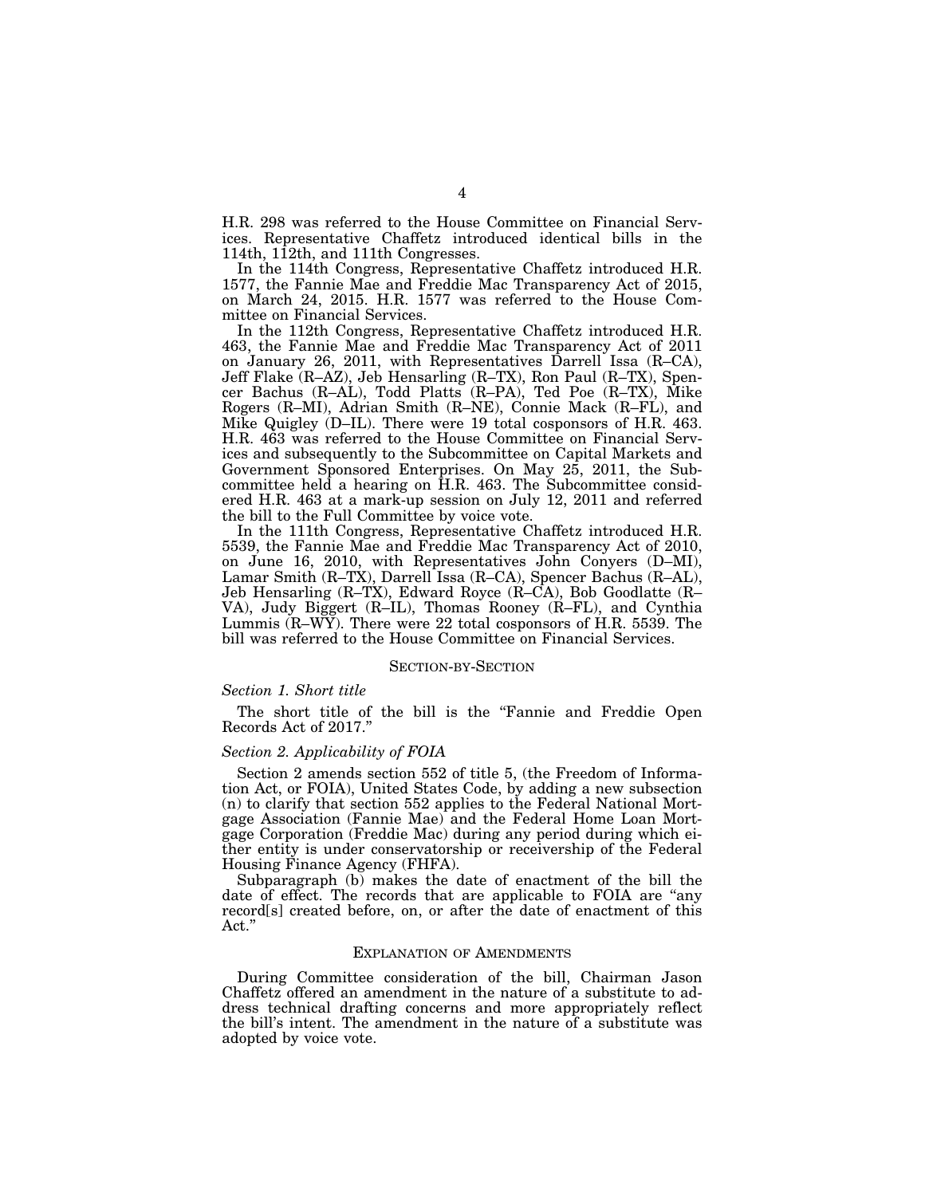H.R. 298 was referred to the House Committee on Financial Services. Representative Chaffetz introduced identical bills in the 114th, 112th, and 111th Congresses.

In the 114th Congress, Representative Chaffetz introduced H.R. 1577, the Fannie Mae and Freddie Mac Transparency Act of 2015, on March 24, 2015. H.R. 1577 was referred to the House Committee on Financial Services.

In the 112th Congress, Representative Chaffetz introduced H.R. 463, the Fannie Mae and Freddie Mac Transparency Act of 2011 on January 26, 2011, with Representatives Darrell Issa (R–CA), Jeff Flake (R–AZ), Jeb Hensarling (R–TX), Ron Paul (R–TX), Spencer Bachus (R–AL), Todd Platts (R–PA), Ted Poe (R–TX), Mike Rogers (R–MI), Adrian Smith (R–NE), Connie Mack (R–FL), and Mike Quigley (D–IL). There were 19 total cosponsors of H.R. 463. H.R. 463 was referred to the House Committee on Financial Services and subsequently to the Subcommittee on Capital Markets and Government Sponsored Enterprises. On May 25, 2011, the Subcommittee held a hearing on H.R. 463. The Subcommittee considered H.R. 463 at a mark-up session on July 12, 2011 and referred the bill to the Full Committee by voice vote.

In the 111th Congress, Representative Chaffetz introduced H.R. 5539, the Fannie Mae and Freddie Mac Transparency Act of 2010, on June 16, 2010, with Representatives John Conyers (D–MI), Lamar Smith (R–TX), Darrell Issa (R–CA), Spencer Bachus (R–AL), Jeb Hensarling (R–TX), Edward Royce (R–CA), Bob Goodlatte (R– VA), Judy Biggert (R–IL), Thomas Rooney (R–FL), and Cynthia Lummis (R–WY). There were 22 total cosponsors of H.R. 5539. The bill was referred to the House Committee on Financial Services.

#### SECTION-BY-SECTION

#### *Section 1. Short title*

The short title of the bill is the "Fannie and Freddie Open Records Act of 2017.''

#### *Section 2. Applicability of FOIA*

Section 2 amends section 552 of title 5, (the Freedom of Information Act, or FOIA), United States Code, by adding a new subsection (n) to clarify that section 552 applies to the Federal National Mortgage Association (Fannie Mae) and the Federal Home Loan Mortgage Corporation (Freddie Mac) during any period during which either entity is under conservatorship or receivership of the Federal Housing Finance Agency (FHFA).

Subparagraph (b) makes the date of enactment of the bill the date of effect. The records that are applicable to FOIA are ''any record[s] created before, on, or after the date of enactment of this Act.''

#### EXPLANATION OF AMENDMENTS

During Committee consideration of the bill, Chairman Jason Chaffetz offered an amendment in the nature of a substitute to address technical drafting concerns and more appropriately reflect the bill's intent. The amendment in the nature of a substitute was adopted by voice vote.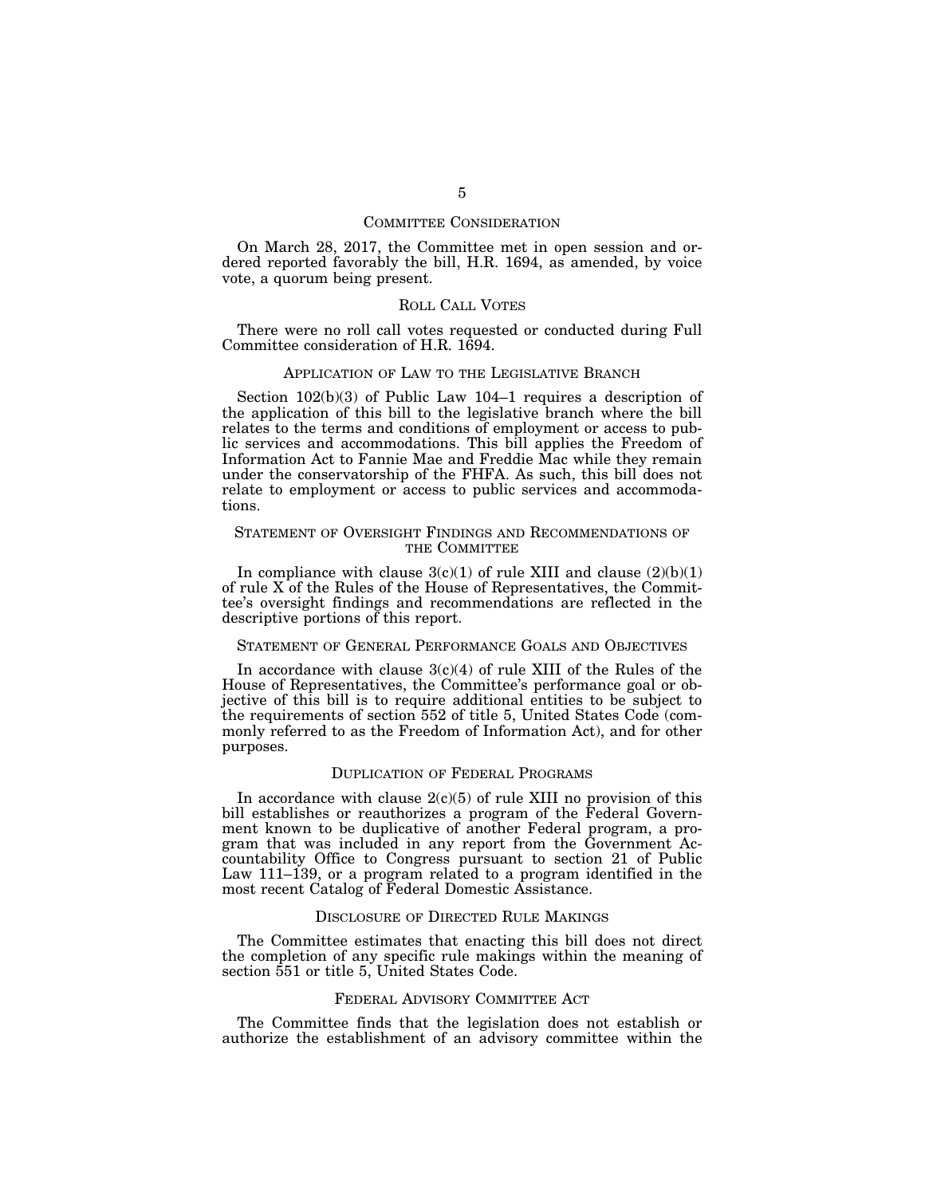#### COMMITTEE CONSIDERATION

On March 28, 2017, the Committee met in open session and ordered reported favorably the bill, H.R. 1694, as amended, by voice vote, a quorum being present.

#### ROLL CALL VOTES

There were no roll call votes requested or conducted during Full Committee consideration of H.R. 1694.

#### APPLICATION OF LAW TO THE LEGISLATIVE BRANCH

Section 102(b)(3) of Public Law 104–1 requires a description of the application of this bill to the legislative branch where the bill relates to the terms and conditions of employment or access to public services and accommodations. This bill applies the Freedom of Information Act to Fannie Mae and Freddie Mac while they remain under the conservatorship of the FHFA. As such, this bill does not relate to employment or access to public services and accommodations.

## STATEMENT OF OVERSIGHT FINDINGS AND RECOMMENDATIONS OF THE COMMITTEE

In compliance with clause  $3(c)(1)$  of rule XIII and clause  $(2)(b)(1)$ of rule X of the Rules of the House of Representatives, the Committee's oversight findings and recommendations are reflected in the descriptive portions of this report.

#### STATEMENT OF GENERAL PERFORMANCE GOALS AND OBJECTIVES

In accordance with clause  $3(c)(4)$  of rule XIII of the Rules of the House of Representatives, the Committee's performance goal or objective of this bill is to require additional entities to be subject to the requirements of section 552 of title 5, United States Code (commonly referred to as the Freedom of Information Act), and for other purposes.

#### DUPLICATION OF FEDERAL PROGRAMS

In accordance with clause  $2(c)(5)$  of rule XIII no provision of this bill establishes or reauthorizes a program of the Federal Government known to be duplicative of another Federal program, a program that was included in any report from the Government Accountability Office to Congress pursuant to section 21 of Public Law 111–139, or a program related to a program identified in the most recent Catalog of Federal Domestic Assistance.

#### DISCLOSURE OF DIRECTED RULE MAKINGS

The Committee estimates that enacting this bill does not direct the completion of any specific rule makings within the meaning of section 551 or title 5, United States Code.

# FEDERAL ADVISORY COMMITTEE ACT

The Committee finds that the legislation does not establish or authorize the establishment of an advisory committee within the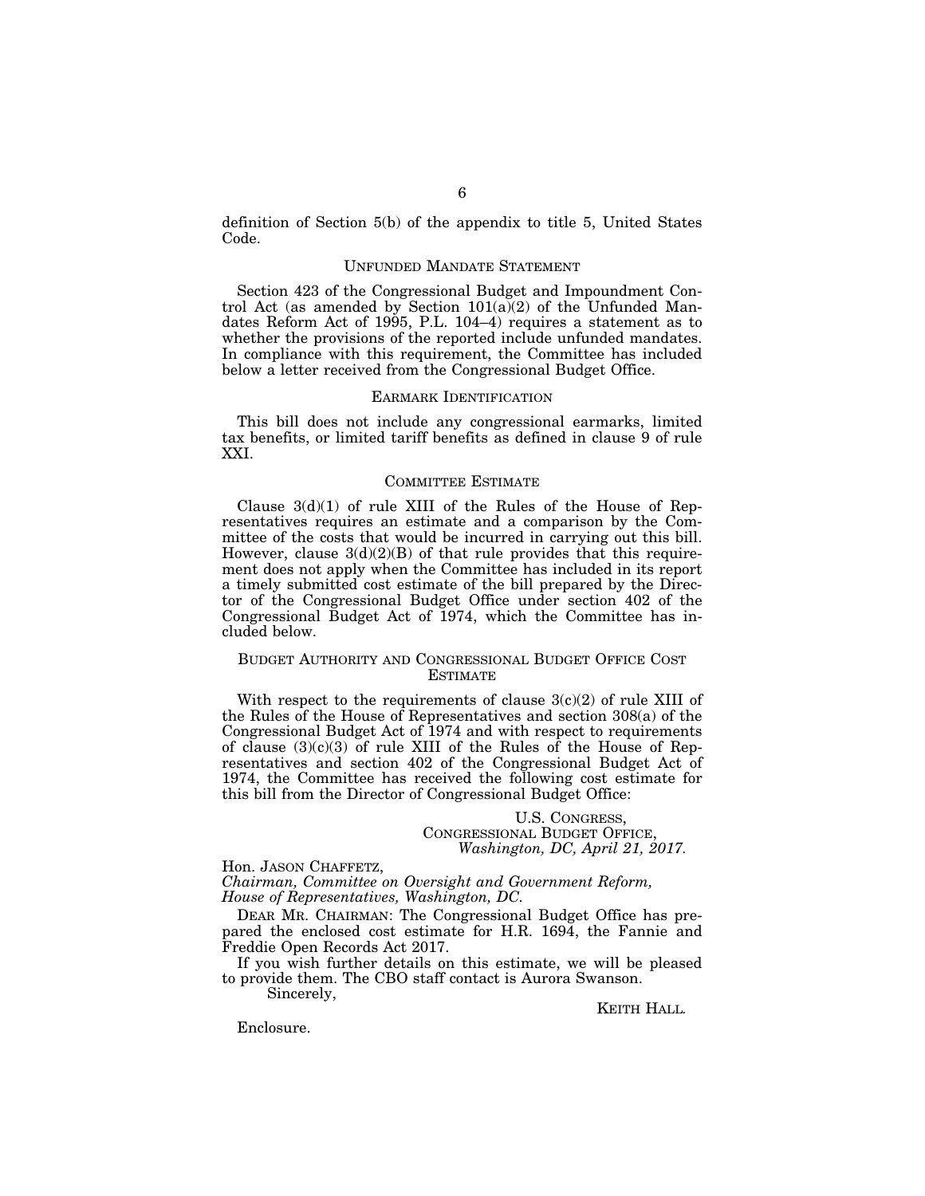definition of Section 5(b) of the appendix to title 5, United States Code.

#### UNFUNDED MANDATE STATEMENT

Section 423 of the Congressional Budget and Impoundment Control Act (as amended by Section  $101(a)(2)$  of the Unfunded Mandates Reform Act of 1995, P.L. 104–4) requires a statement as to whether the provisions of the reported include unfunded mandates. In compliance with this requirement, the Committee has included below a letter received from the Congressional Budget Office.

#### EARMARK IDENTIFICATION

This bill does not include any congressional earmarks, limited tax benefits, or limited tariff benefits as defined in clause 9 of rule XXI.

#### COMMITTEE ESTIMATE

Clause  $3(d)(1)$  of rule XIII of the Rules of the House of Representatives requires an estimate and a comparison by the Committee of the costs that would be incurred in carrying out this bill. However, clause  $3(d)(2)(B)$  of that rule provides that this requirement does not apply when the Committee has included in its report a timely submitted cost estimate of the bill prepared by the Director of the Congressional Budget Office under section 402 of the Congressional Budget Act of 1974, which the Committee has included below.

# BUDGET AUTHORITY AND CONGRESSIONAL BUDGET OFFICE COST ESTIMATE

With respect to the requirements of clause  $3(c)(2)$  of rule XIII of the Rules of the House of Representatives and section 308(a) of the Congressional Budget Act of 1974 and with respect to requirements of clause  $(3)(c)(3)$  of rule XIII of the Rules of the House of Representatives and section 402 of the Congressional Budget Act of 1974, the Committee has received the following cost estimate for this bill from the Director of Congressional Budget Office:

U.S. CONGRESS, CONGRESSIONAL BUDGET OFFICE, *Washington, DC, April 21, 2017.* 

Hon. JASON CHAFFETZ, *Chairman, Committee on Oversight and Government Reform, House of Representatives, Washington, DC.* 

DEAR MR. CHAIRMAN: The Congressional Budget Office has prepared the enclosed cost estimate for H.R. 1694, the Fannie and Freddie Open Records Act 2017.

If you wish further details on this estimate, we will be pleased to provide them. The CBO staff contact is Aurora Swanson.

Sincerely,

KEITH HALL*.* 

Enclosure.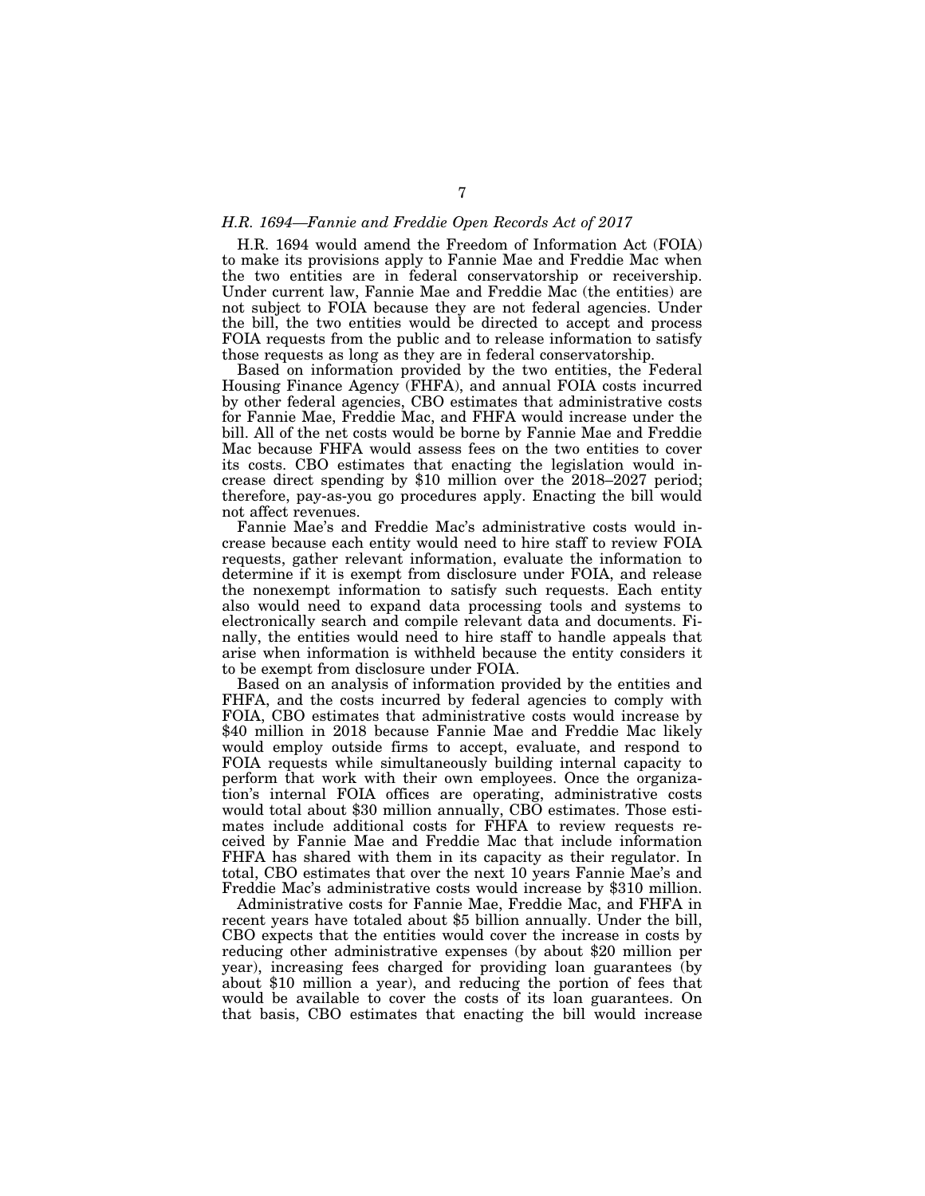#### *H.R. 1694—Fannie and Freddie Open Records Act of 2017*

H.R. 1694 would amend the Freedom of Information Act (FOIA) to make its provisions apply to Fannie Mae and Freddie Mac when the two entities are in federal conservatorship or receivership. Under current law, Fannie Mae and Freddie Mac (the entities) are not subject to FOIA because they are not federal agencies. Under the bill, the two entities would be directed to accept and process FOIA requests from the public and to release information to satisfy those requests as long as they are in federal conservatorship.

Based on information provided by the two entities, the Federal Housing Finance Agency (FHFA), and annual FOIA costs incurred by other federal agencies, CBO estimates that administrative costs for Fannie Mae, Freddie Mac, and FHFA would increase under the bill. All of the net costs would be borne by Fannie Mae and Freddie Mac because FHFA would assess fees on the two entities to cover its costs. CBO estimates that enacting the legislation would increase direct spending by \$10 million over the 2018–2027 period; therefore, pay-as-you go procedures apply. Enacting the bill would not affect revenues.

Fannie Mae's and Freddie Mac's administrative costs would increase because each entity would need to hire staff to review FOIA requests, gather relevant information, evaluate the information to determine if it is exempt from disclosure under FOIA, and release the nonexempt information to satisfy such requests. Each entity also would need to expand data processing tools and systems to electronically search and compile relevant data and documents. Finally, the entities would need to hire staff to handle appeals that arise when information is withheld because the entity considers it to be exempt from disclosure under FOIA.

Based on an analysis of information provided by the entities and FHFA, and the costs incurred by federal agencies to comply with FOIA, CBO estimates that administrative costs would increase by \$40 million in 2018 because Fannie Mae and Freddie Mac likely would employ outside firms to accept, evaluate, and respond to FOIA requests while simultaneously building internal capacity to perform that work with their own employees. Once the organization's internal FOIA offices are operating, administrative costs would total about \$30 million annually, CBO estimates. Those estimates include additional costs for FHFA to review requests received by Fannie Mae and Freddie Mac that include information FHFA has shared with them in its capacity as their regulator. In total, CBO estimates that over the next 10 years Fannie Mae's and Freddie Mac's administrative costs would increase by \$310 million.

Administrative costs for Fannie Mae, Freddie Mac, and FHFA in recent years have totaled about \$5 billion annually. Under the bill, CBO expects that the entities would cover the increase in costs by reducing other administrative expenses (by about \$20 million per year), increasing fees charged for providing loan guarantees (by about \$10 million a year), and reducing the portion of fees that would be available to cover the costs of its loan guarantees. On that basis, CBO estimates that enacting the bill would increase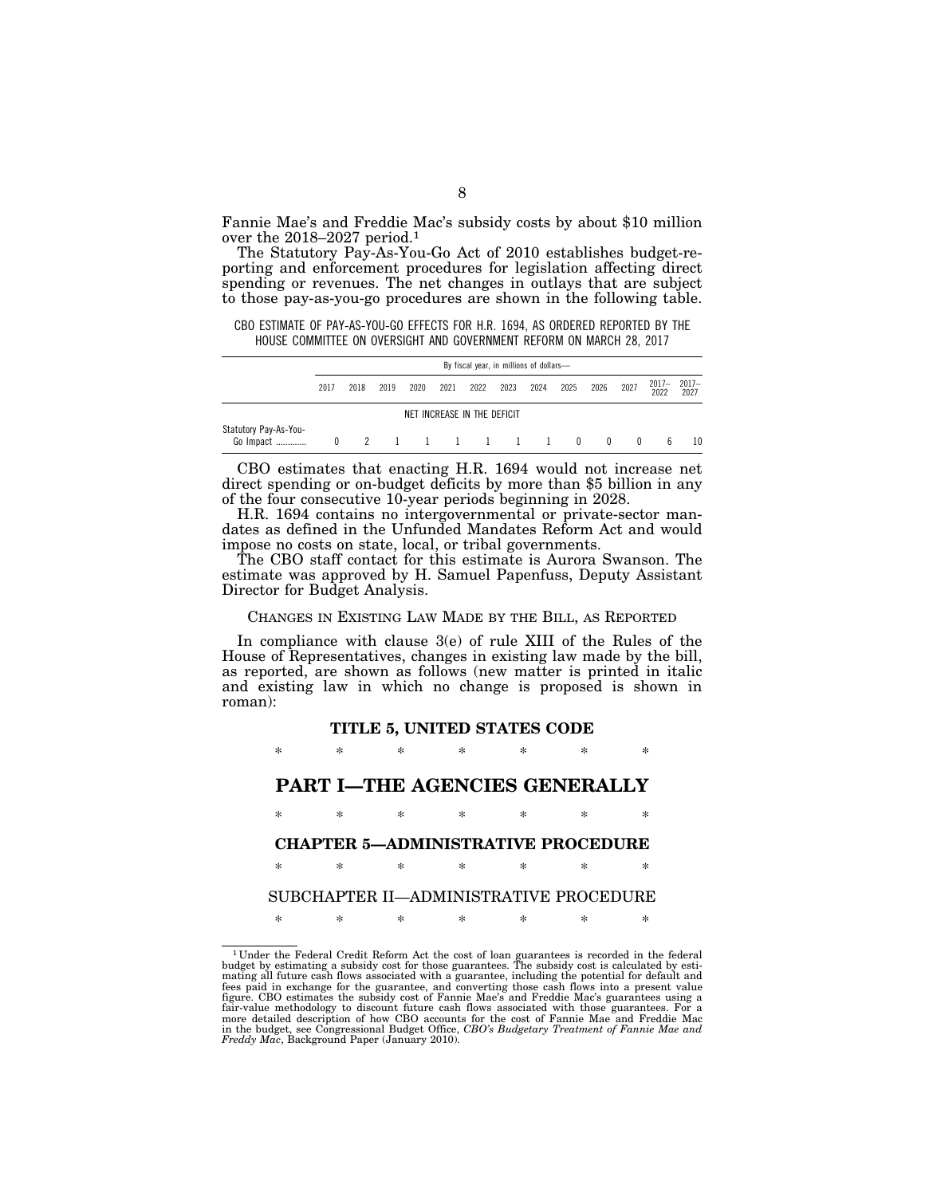Fannie Mae's and Freddie Mac's subsidy costs by about \$10 million over the 2018–2027 period.1

The Statutory Pay-As-You-Go Act of 2010 establishes budget-reporting and enforcement procedures for legislation affecting direct spending or revenues. The net changes in outlays that are subject to those pay-as-you-go procedures are shown in the following table.

CBO ESTIMATE OF PAY-AS-YOU-GO EFFECTS FOR H.R. 1694, AS ORDERED REPORTED BY THE HOUSE COMMITTEE ON OVERSIGHT AND GOVERNMENT REFORM ON MARCH 28, 2017

|                                    | By fiscal year, in millions of dollars- |      |      |      |      |      |      |      |                 |                |                |                         |                 |
|------------------------------------|-----------------------------------------|------|------|------|------|------|------|------|-----------------|----------------|----------------|-------------------------|-----------------|
|                                    | 2017                                    | 2018 | 2019 | 2020 | 2021 | 2022 | 2023 | 2024 | 2025            | 2026           | 2027           | $2017 - 2017 -$<br>2022 | 2027            |
| NET INCREASE IN THE DEFICIT        |                                         |      |      |      |      |      |      |      |                 |                |                |                         |                 |
| Statutory Pay-As-You-<br>Go Impact | $\mathbf{0}$                            |      |      |      |      |      |      |      | 2 1 1 1 1 1 1 0 | $\overline{0}$ | $\overline{0}$ | -6                      | 10 <sup>°</sup> |

CBO estimates that enacting H.R. 1694 would not increase net direct spending or on-budget deficits by more than \$5 billion in any of the four consecutive 10-year periods beginning in 2028.

H.R. 1694 contains no intergovernmental or private-sector mandates as defined in the Unfunded Mandates Reform Act and would impose no costs on state, local, or tribal governments.

The CBO staff contact for this estimate is Aurora Swanson. The estimate was approved by H. Samuel Papenfuss, Deputy Assistant Director for Budget Analysis.

#### CHANGES IN EXISTING LAW MADE BY THE BILL, AS REPORTED

In compliance with clause 3(e) of rule XIII of the Rules of the House of Representatives, changes in existing law made by the bill, as reported, are shown as follows (new matter is printed in italic and existing law in which no change is proposed is shown in roman):

#### **TITLE 5, UNITED STATES CODE**

\* \* \* \* \* \* \*

# **PART I—THE AGENCIES GENERALLY**

\* \* \* \* \* \* \* **CHAPTER 5—ADMINISTRATIVE PROCEDURE** 

# \* \* \* \* \* \* \*

# SUBCHAPTER II—ADMINISTRATIVE PROCEDURE

\* \* \* \* \* \* \*

 $1$  Under the Federal Credit Reform Act the cost of loan guarantees is recorded in the federal budget by estimating a subsidy cost for those guarantees. The subsidy cost is calculated by estimating all future cash flows a fees paid in exchange for the guarantee, and converting those cash flows into a present value<br>figure. CBO estimates the subsidy cost of Fannie Mae's and Freddie Mac's guarantees using a<br>fair-value methodology to discount f more detailed description of how CBO accounts for the cost of Fannie Mae and Freddie Mac<br>in the budget, see Congressional Budget Office, CBO's Budgetary Treatment of Fannie Mae and<br>Freddy Mac, Background Paper (January 201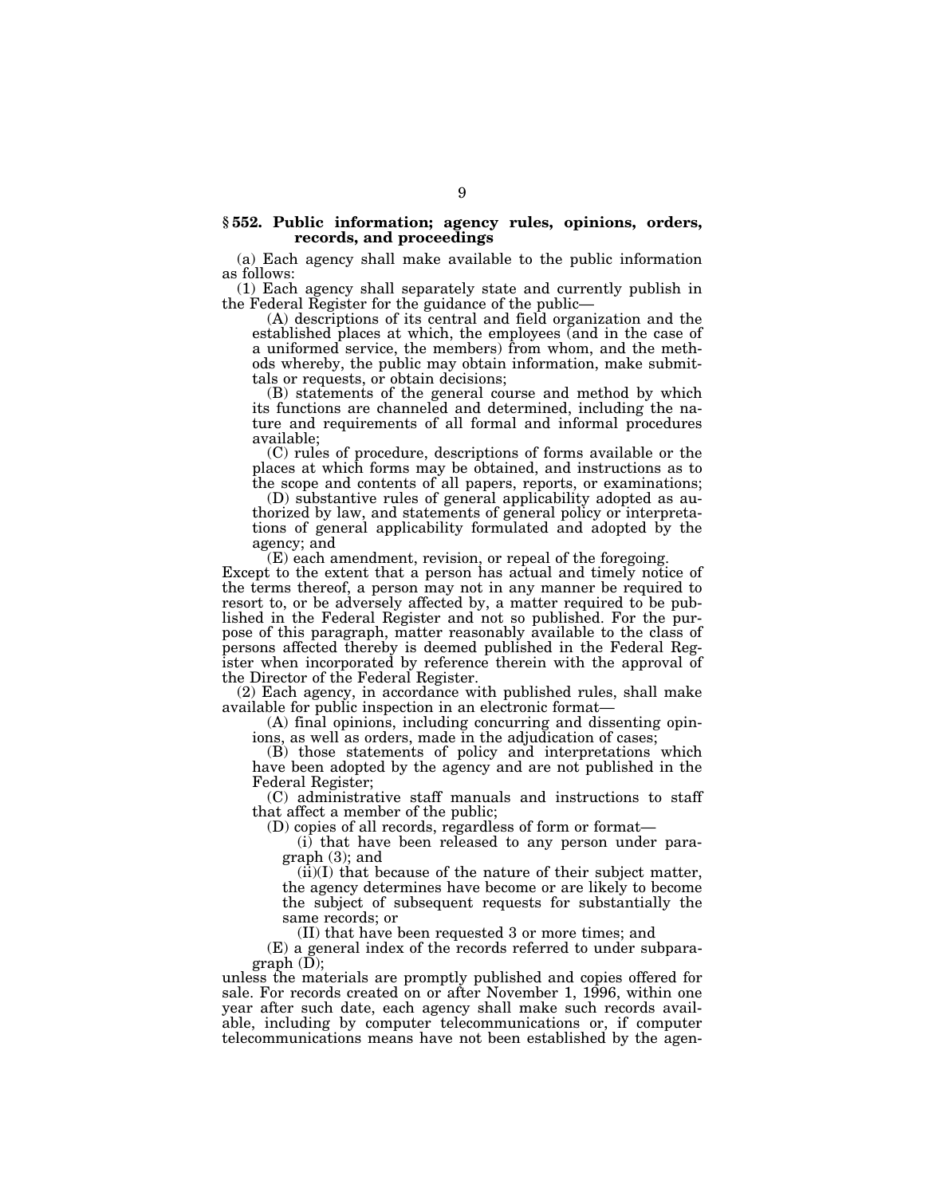## **§ 552. Public information; agency rules, opinions, orders, records, and proceedings**

(a) Each agency shall make available to the public information as follows:

(1) Each agency shall separately state and currently publish in the Federal Register for the guidance of the public—

(A) descriptions of its central and field organization and the established places at which, the employees (and in the case of a uniformed service, the members) from whom, and the methods whereby, the public may obtain information, make submittals or requests, or obtain decisions;

(B) statements of the general course and method by which its functions are channeled and determined, including the nature and requirements of all formal and informal procedures available;

(C) rules of procedure, descriptions of forms available or the places at which forms may be obtained, and instructions as to the scope and contents of all papers, reports, or examinations;

(D) substantive rules of general applicability adopted as authorized by law, and statements of general policy or interpretations of general applicability formulated and adopted by the agency; and

(E) each amendment, revision, or repeal of the foregoing.

Except to the extent that a person has actual and timely notice of the terms thereof, a person may not in any manner be required to resort to, or be adversely affected by, a matter required to be published in the Federal Register and not so published. For the purpose of this paragraph, matter reasonably available to the class of persons affected thereby is deemed published in the Federal Register when incorporated by reference therein with the approval of the Director of the Federal Register.

(2) Each agency, in accordance with published rules, shall make available for public inspection in an electronic format—

(A) final opinions, including concurring and dissenting opinions, as well as orders, made in the adjudication of cases;

(B) those statements of policy and interpretations which have been adopted by the agency and are not published in the Federal Register;

(C) administrative staff manuals and instructions to staff that affect a member of the public;

(D) copies of all records, regardless of form or format—

(i) that have been released to any person under paragraph (3); and

 $(iii)(I)$  that because of the nature of their subject matter, the agency determines have become or are likely to become the subject of subsequent requests for substantially the same records; or

(II) that have been requested 3 or more times; and

(E) a general index of the records referred to under subparagraph  $(D)$ ;

unless the materials are promptly published and copies offered for sale. For records created on or after November 1, 1996, within one year after such date, each agency shall make such records available, including by computer telecommunications or, if computer telecommunications means have not been established by the agen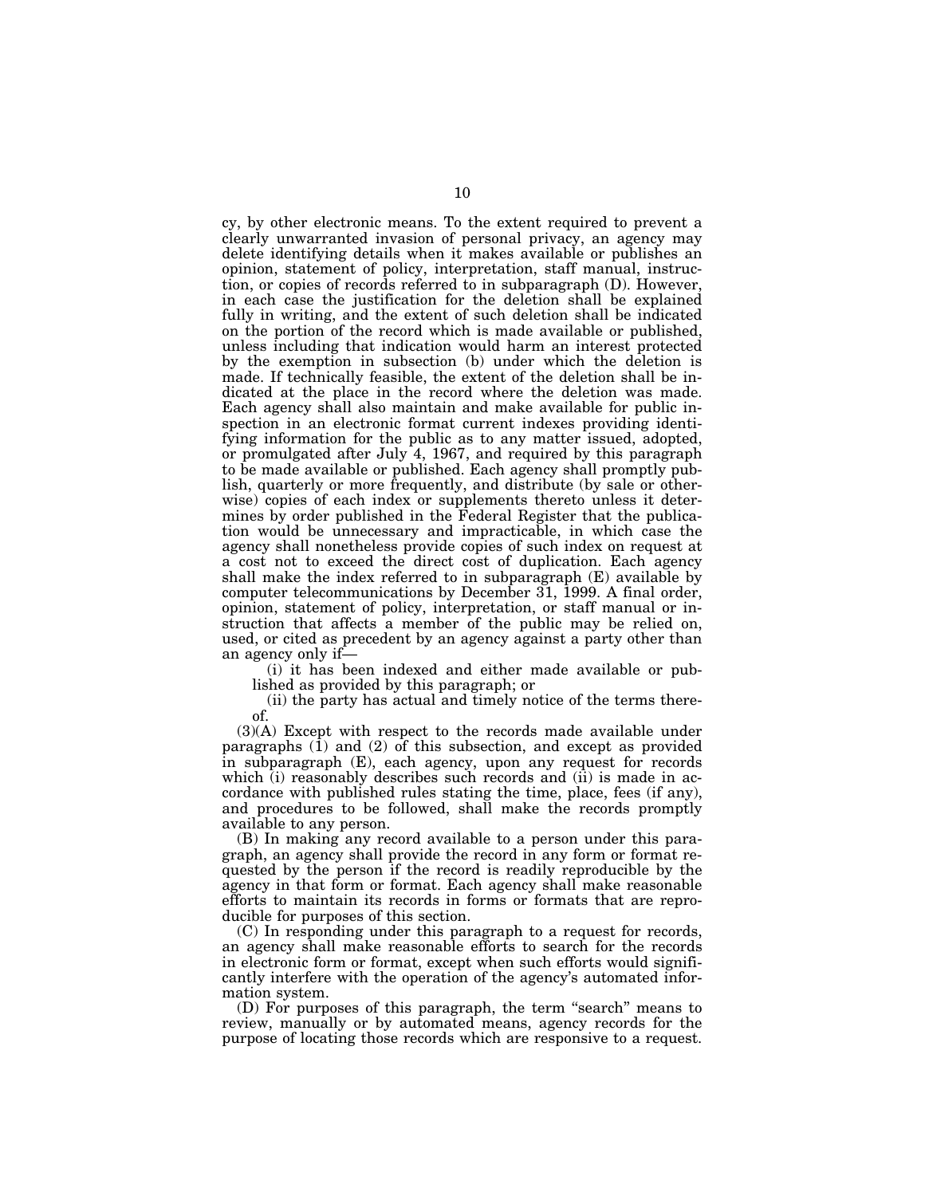cy, by other electronic means. To the extent required to prevent a clearly unwarranted invasion of personal privacy, an agency may delete identifying details when it makes available or publishes an opinion, statement of policy, interpretation, staff manual, instruction, or copies of records referred to in subparagraph (D). However, in each case the justification for the deletion shall be explained fully in writing, and the extent of such deletion shall be indicated on the portion of the record which is made available or published, unless including that indication would harm an interest protected by the exemption in subsection (b) under which the deletion is made. If technically feasible, the extent of the deletion shall be indicated at the place in the record where the deletion was made. Each agency shall also maintain and make available for public inspection in an electronic format current indexes providing identifying information for the public as to any matter issued, adopted, or promulgated after July 4, 1967, and required by this paragraph to be made available or published. Each agency shall promptly publish, quarterly or more frequently, and distribute (by sale or otherwise) copies of each index or supplements thereto unless it determines by order published in the Federal Register that the publication would be unnecessary and impracticable, in which case the agency shall nonetheless provide copies of such index on request at a cost not to exceed the direct cost of duplication. Each agency shall make the index referred to in subparagraph (E) available by computer telecommunications by December 31, 1999. A final order, opinion, statement of policy, interpretation, or staff manual or instruction that affects a member of the public may be relied on, used, or cited as precedent by an agency against a party other than an agency only if—

(i) it has been indexed and either made available or published as provided by this paragraph; or

(ii) the party has actual and timely notice of the terms thereof.

(3)(A) Except with respect to the records made available under paragraphs  $(1)$  and  $(2)$  of this subsection, and except as provided in subparagraph (E), each agency, upon any request for records which (i) reasonably describes such records and (ii) is made in accordance with published rules stating the time, place, fees (if any), and procedures to be followed, shall make the records promptly available to any person.

(B) In making any record available to a person under this paragraph, an agency shall provide the record in any form or format requested by the person if the record is readily reproducible by the agency in that form or format. Each agency shall make reasonable efforts to maintain its records in forms or formats that are reproducible for purposes of this section.

(C) In responding under this paragraph to a request for records, an agency shall make reasonable efforts to search for the records in electronic form or format, except when such efforts would significantly interfere with the operation of the agency's automated information system.

(D) For purposes of this paragraph, the term ''search'' means to review, manually or by automated means, agency records for the purpose of locating those records which are responsive to a request.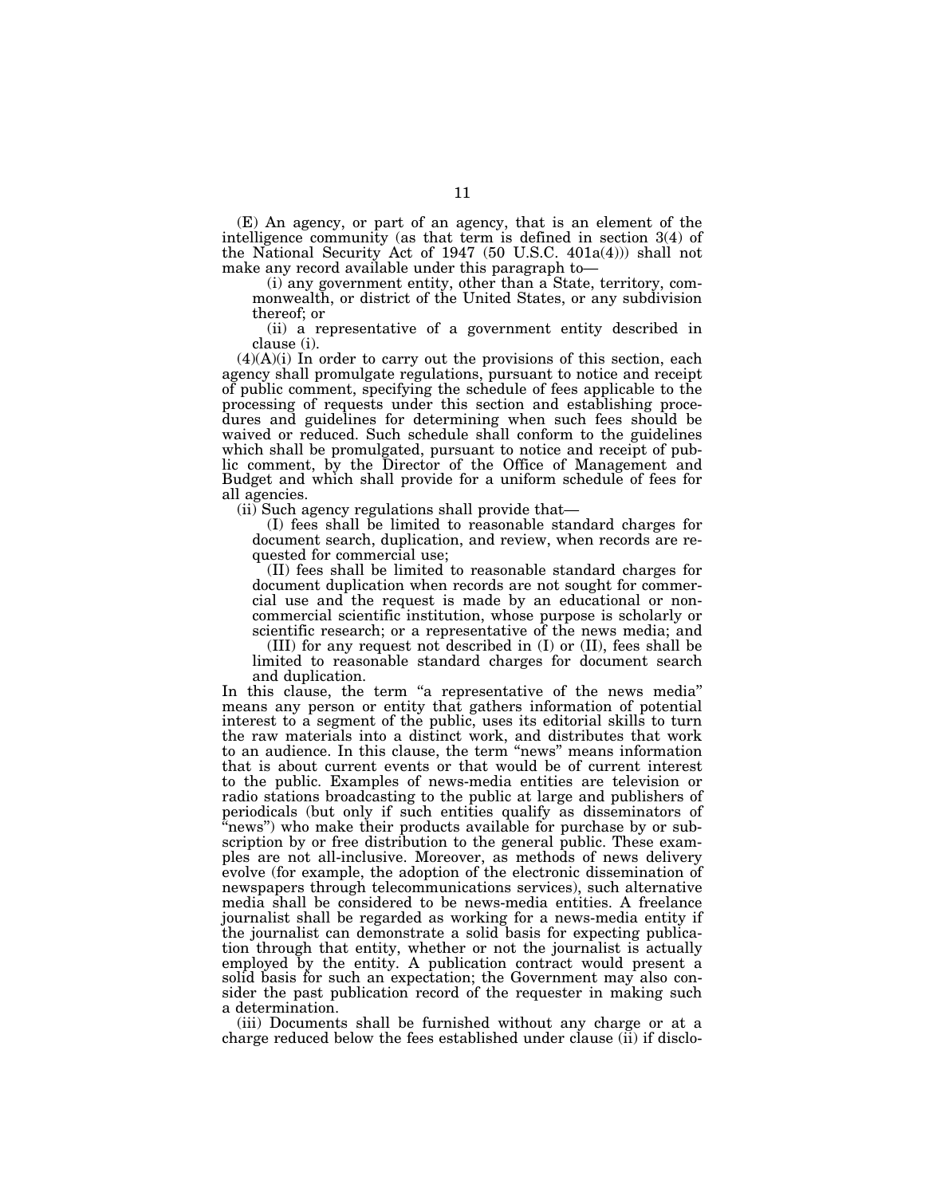(E) An agency, or part of an agency, that is an element of the intelligence community (as that term is defined in section 3(4) of the National Security Act of 1947 (50 U.S.C. 401a(4))) shall not make any record available under this paragraph to—

(i) any government entity, other than a State, territory, commonwealth, or district of the United States, or any subdivision thereof; or

(ii) a representative of a government entity described in clause (i).

 $(4)(A)(i)$  In order to carry out the provisions of this section, each agency shall promulgate regulations, pursuant to notice and receipt of public comment, specifying the schedule of fees applicable to the processing of requests under this section and establishing procedures and guidelines for determining when such fees should be waived or reduced. Such schedule shall conform to the guidelines which shall be promulgated, pursuant to notice and receipt of public comment, by the Director of the Office of Management and Budget and which shall provide for a uniform schedule of fees for all agencies.

(ii) Such agency regulations shall provide that—

(I) fees shall be limited to reasonable standard charges for document search, duplication, and review, when records are requested for commercial use;

(II) fees shall be limited to reasonable standard charges for document duplication when records are not sought for commercial use and the request is made by an educational or noncommercial scientific institution, whose purpose is scholarly or scientific research; or a representative of the news media; and

(III) for any request not described in (I) or (II), fees shall be limited to reasonable standard charges for document search and duplication.

In this clause, the term ''a representative of the news media'' means any person or entity that gathers information of potential interest to a segment of the public, uses its editorial skills to turn the raw materials into a distinct work, and distributes that work to an audience. In this clause, the term ''news'' means information that is about current events or that would be of current interest to the public. Examples of news-media entities are television or radio stations broadcasting to the public at large and publishers of periodicals (but only if such entities qualify as disseminators of "news") who make their products available for purchase by or subscription by or free distribution to the general public. These examples are not all-inclusive. Moreover, as methods of news delivery evolve (for example, the adoption of the electronic dissemination of newspapers through telecommunications services), such alternative media shall be considered to be news-media entities. A freelance journalist shall be regarded as working for a news-media entity if the journalist can demonstrate a solid basis for expecting publication through that entity, whether or not the journalist is actually employed by the entity. A publication contract would present a solid basis for such an expectation; the Government may also consider the past publication record of the requester in making such a determination.

(iii) Documents shall be furnished without any charge or at a charge reduced below the fees established under clause (ii) if disclo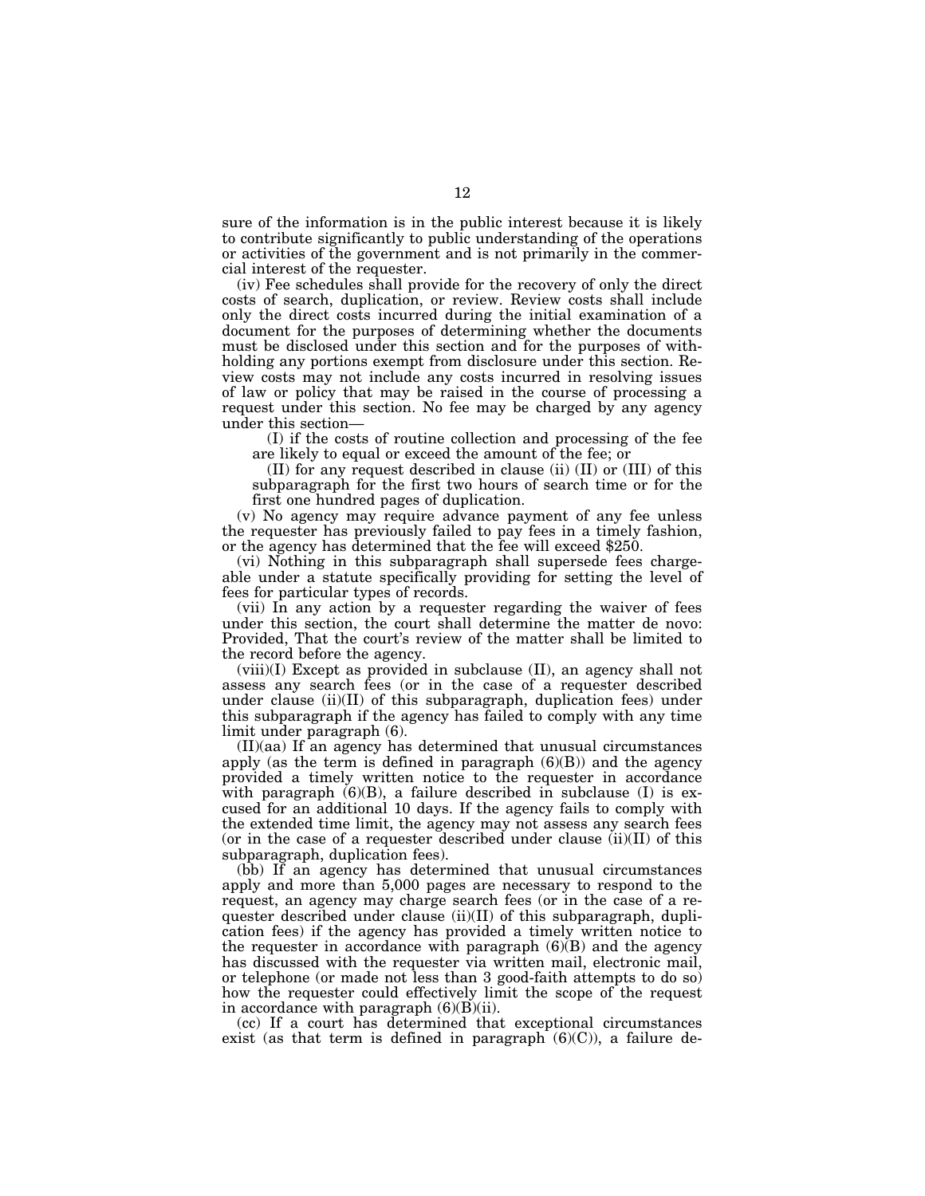sure of the information is in the public interest because it is likely to contribute significantly to public understanding of the operations or activities of the government and is not primarily in the commercial interest of the requester.

(iv) Fee schedules shall provide for the recovery of only the direct costs of search, duplication, or review. Review costs shall include only the direct costs incurred during the initial examination of a document for the purposes of determining whether the documents must be disclosed under this section and for the purposes of withholding any portions exempt from disclosure under this section. Review costs may not include any costs incurred in resolving issues of law or policy that may be raised in the course of processing a request under this section. No fee may be charged by any agency under this section—

(I) if the costs of routine collection and processing of the fee are likely to equal or exceed the amount of the fee; or

(II) for any request described in clause (ii) (II) or (III) of this subparagraph for the first two hours of search time or for the first one hundred pages of duplication.

(v) No agency may require advance payment of any fee unless the requester has previously failed to pay fees in a timely fashion, or the agency has determined that the fee will exceed \$250.

(vi) Nothing in this subparagraph shall supersede fees chargeable under a statute specifically providing for setting the level of fees for particular types of records.

(vii) In any action by a requester regarding the waiver of fees under this section, the court shall determine the matter de novo: Provided, That the court's review of the matter shall be limited to the record before the agency.

(viii)(I) Except as provided in subclause (II), an agency shall not assess any search fees (or in the case of a requester described under clause (ii)(II) of this subparagraph, duplication fees) under this subparagraph if the agency has failed to comply with any time limit under paragraph (6).

(II)(aa) If an agency has determined that unusual circumstances apply (as the term is defined in paragraph (6)(B)) and the agency provided a timely written notice to the requester in accordance with paragraph  $(6)(B)$ , a failure described in subclause (I) is excused for an additional 10 days. If the agency fails to comply with the extended time limit, the agency may not assess any search fees (or in the case of a requester described under clause (ii)(II) of this subparagraph, duplication fees).

(bb) If an agency has determined that unusual circumstances apply and more than 5,000 pages are necessary to respond to the request, an agency may charge search fees (or in the case of a requester described under clause (ii)(II) of this subparagraph, duplication fees) if the agency has provided a timely written notice to the requester in accordance with paragraph  $(6)(B)$  and the agency has discussed with the requester via written mail, electronic mail, or telephone (or made not less than 3 good-faith attempts to do so) how the requester could effectively limit the scope of the request in accordance with paragraph  $(6)(B)(ii)$ .

(cc) If a court has determined that exceptional circumstances exist (as that term is defined in paragraph  $(6)(C)$ ), a failure de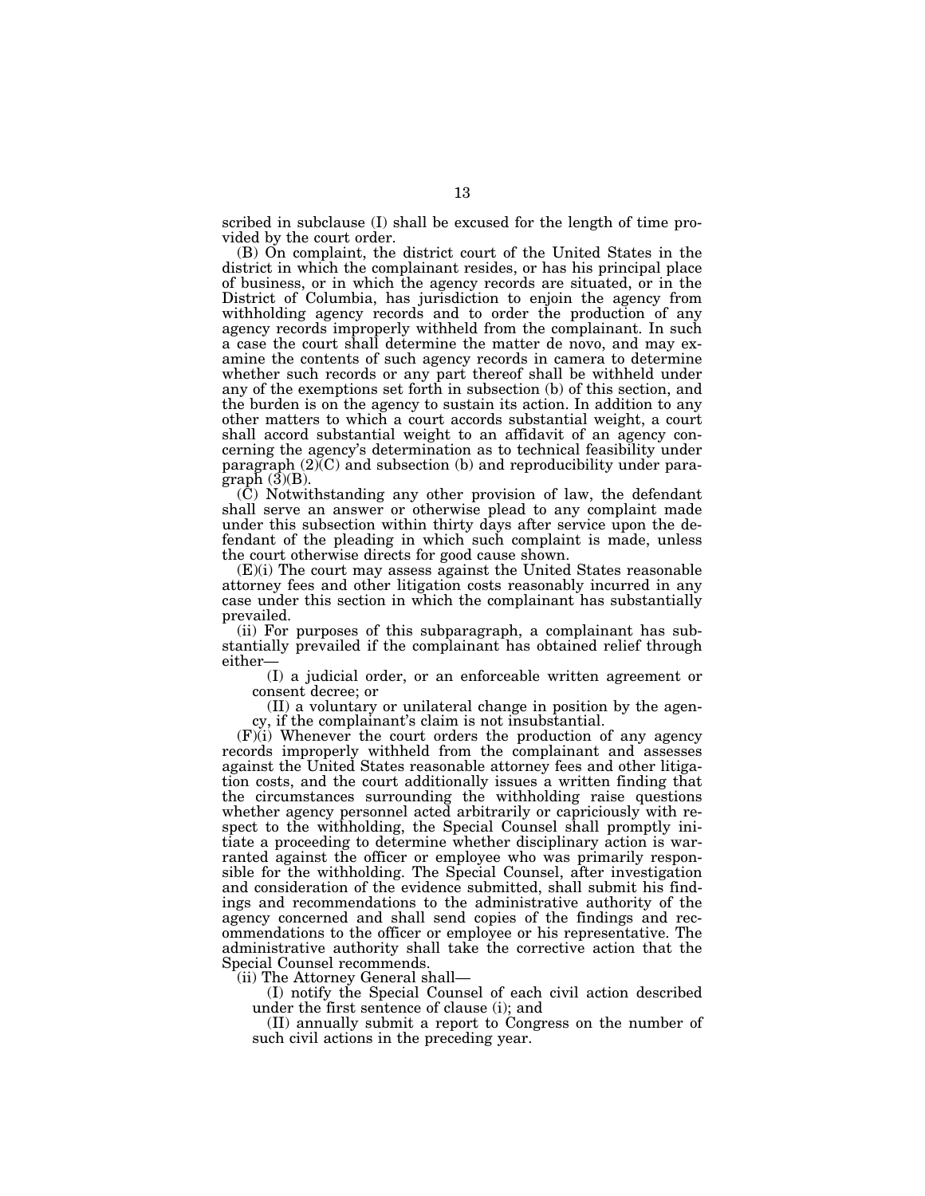scribed in subclause (I) shall be excused for the length of time provided by the court order.

(B) On complaint, the district court of the United States in the district in which the complainant resides, or has his principal place of business, or in which the agency records are situated, or in the District of Columbia, has jurisdiction to enjoin the agency from withholding agency records and to order the production of any agency records improperly withheld from the complainant. In such a case the court shall determine the matter de novo, and may examine the contents of such agency records in camera to determine whether such records or any part thereof shall be withheld under any of the exemptions set forth in subsection (b) of this section, and the burden is on the agency to sustain its action. In addition to any other matters to which a court accords substantial weight, a court shall accord substantial weight to an affidavit of an agency concerning the agency's determination as to technical feasibility under paragraph (2)(C) and subsection (b) and reproducibility under para $graph (3)(B)$ .

(C) Notwithstanding any other provision of law, the defendant shall serve an answer or otherwise plead to any complaint made under this subsection within thirty days after service upon the defendant of the pleading in which such complaint is made, unless the court otherwise directs for good cause shown.

(E)(i) The court may assess against the United States reasonable attorney fees and other litigation costs reasonably incurred in any case under this section in which the complainant has substantially prevailed.

(ii) For purposes of this subparagraph, a complainant has substantially prevailed if the complainant has obtained relief through either—

(I) a judicial order, or an enforceable written agreement or consent decree; or

(II) a voluntary or unilateral change in position by the agency, if the complainant's claim is not insubstantial.

(F)(i) Whenever the court orders the production of any agency records improperly withheld from the complainant and assesses against the United States reasonable attorney fees and other litigation costs, and the court additionally issues a written finding that the circumstances surrounding the withholding raise questions whether agency personnel acted arbitrarily or capriciously with respect to the withholding, the Special Counsel shall promptly initiate a proceeding to determine whether disciplinary action is warranted against the officer or employee who was primarily responsible for the withholding. The Special Counsel, after investigation and consideration of the evidence submitted, shall submit his findings and recommendations to the administrative authority of the agency concerned and shall send copies of the findings and recommendations to the officer or employee or his representative. The administrative authority shall take the corrective action that the Special Counsel recommends.

(ii) The Attorney General shall—

(I) notify the Special Counsel of each civil action described under the first sentence of clause (i); and

(II) annually submit a report to Congress on the number of such civil actions in the preceding year.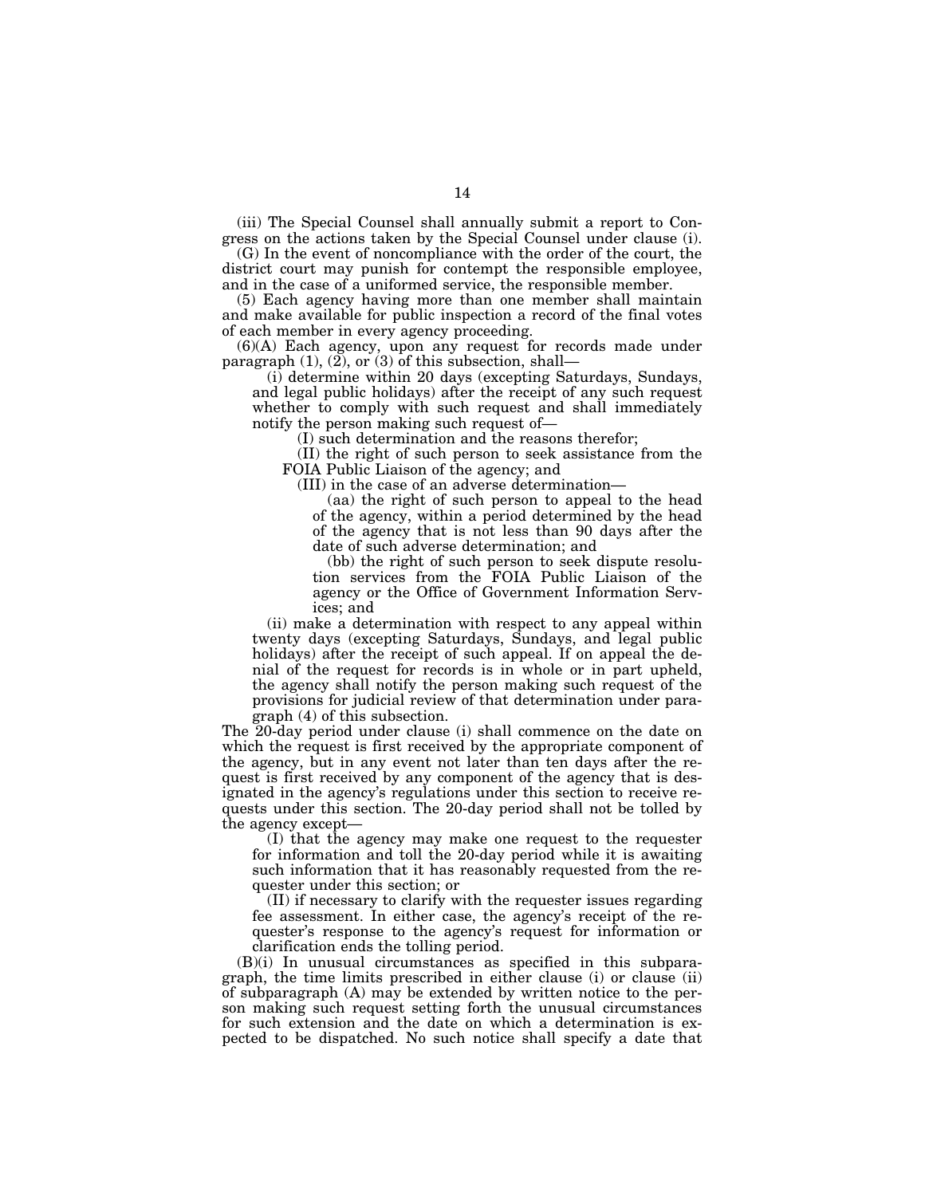(iii) The Special Counsel shall annually submit a report to Congress on the actions taken by the Special Counsel under clause (i).

(G) In the event of noncompliance with the order of the court, the district court may punish for contempt the responsible employee, and in the case of a uniformed service, the responsible member.

(5) Each agency having more than one member shall maintain and make available for public inspection a record of the final votes of each member in every agency proceeding.

(6)(A) Each agency, upon any request for records made under paragraph  $(1)$ ,  $(2)$ , or  $(3)$  of this subsection, shall-

(i) determine within 20 days (excepting Saturdays, Sundays, and legal public holidays) after the receipt of any such request whether to comply with such request and shall immediately notify the person making such request of—

(I) such determination and the reasons therefor;

(II) the right of such person to seek assistance from the FOIA Public Liaison of the agency; and

(III) in the case of an adverse determination—

(aa) the right of such person to appeal to the head of the agency, within a period determined by the head of the agency that is not less than 90 days after the date of such adverse determination; and

(bb) the right of such person to seek dispute resolution services from the FOIA Public Liaison of the agency or the Office of Government Information Services; and

(ii) make a determination with respect to any appeal within twenty days (excepting Saturdays, Sundays, and legal public holidays) after the receipt of such appeal. If on appeal the denial of the request for records is in whole or in part upheld, the agency shall notify the person making such request of the provisions for judicial review of that determination under paragraph (4) of this subsection.

The 20-day period under clause (i) shall commence on the date on which the request is first received by the appropriate component of the agency, but in any event not later than ten days after the request is first received by any component of the agency that is designated in the agency's regulations under this section to receive requests under this section. The 20-day period shall not be tolled by the agency except—

(I) that the agency may make one request to the requester for information and toll the 20-day period while it is awaiting such information that it has reasonably requested from the requester under this section; or

(II) if necessary to clarify with the requester issues regarding fee assessment. In either case, the agency's receipt of the requester's response to the agency's request for information or clarification ends the tolling period.

(B)(i) In unusual circumstances as specified in this subparagraph, the time limits prescribed in either clause (i) or clause (ii) of subparagraph (A) may be extended by written notice to the person making such request setting forth the unusual circumstances for such extension and the date on which a determination is expected to be dispatched. No such notice shall specify a date that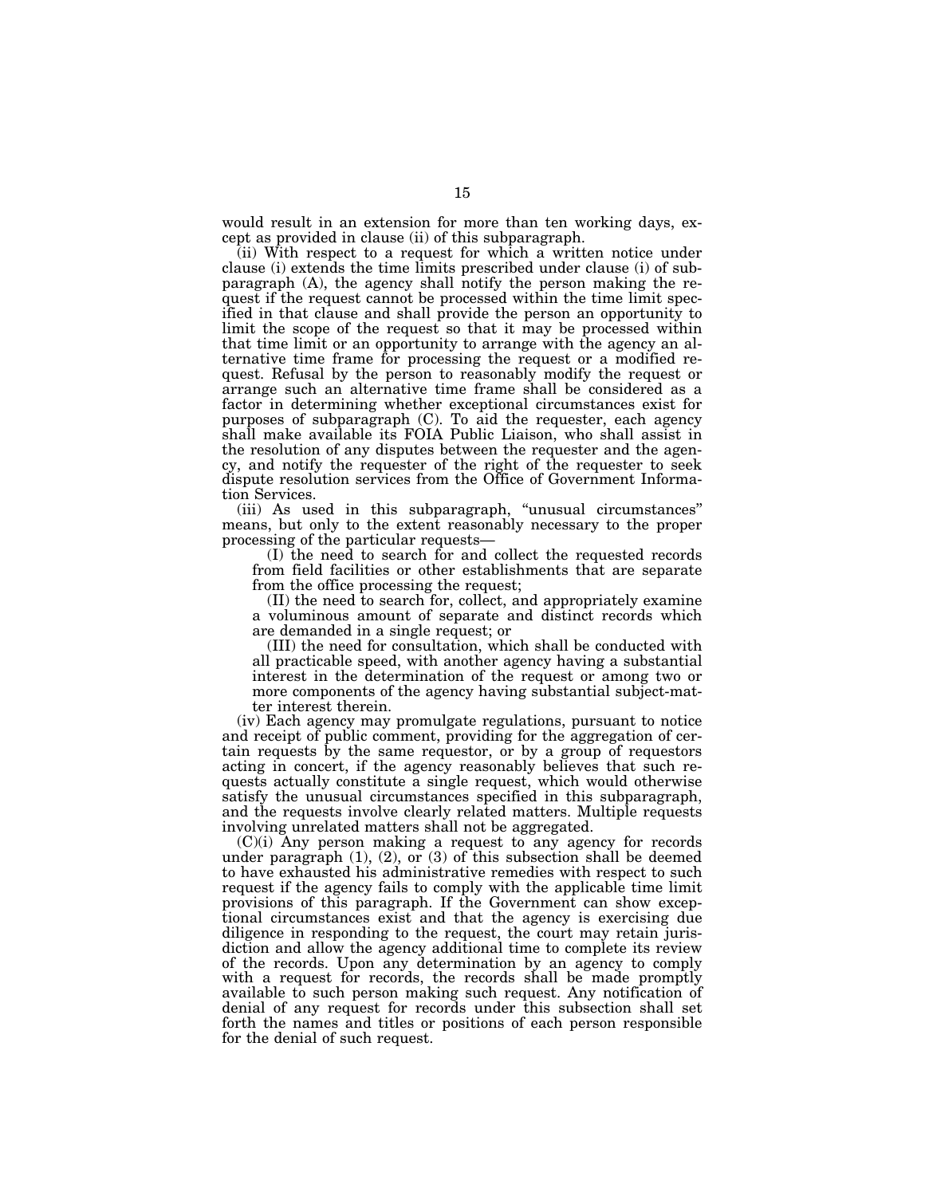would result in an extension for more than ten working days, except as provided in clause (ii) of this subparagraph.

(ii) With respect to a request for which a written notice under clause (i) extends the time limits prescribed under clause (i) of subparagraph (A), the agency shall notify the person making the request if the request cannot be processed within the time limit specified in that clause and shall provide the person an opportunity to limit the scope of the request so that it may be processed within that time limit or an opportunity to arrange with the agency an alternative time frame for processing the request or a modified request. Refusal by the person to reasonably modify the request or arrange such an alternative time frame shall be considered as a factor in determining whether exceptional circumstances exist for purposes of subparagraph (C). To aid the requester, each agency shall make available its FOIA Public Liaison, who shall assist in the resolution of any disputes between the requester and the agency, and notify the requester of the right of the requester to seek dispute resolution services from the Office of Government Information Services.

(iii) As used in this subparagraph, "unusual circumstances" means, but only to the extent reasonably necessary to the proper processing of the particular requests—

(I) the need to search for and collect the requested records from field facilities or other establishments that are separate from the office processing the request;

(II) the need to search for, collect, and appropriately examine a voluminous amount of separate and distinct records which are demanded in a single request; or

(III) the need for consultation, which shall be conducted with all practicable speed, with another agency having a substantial interest in the determination of the request or among two or more components of the agency having substantial subject-matter interest therein.

(iv) Each agency may promulgate regulations, pursuant to notice and receipt of public comment, providing for the aggregation of certain requests by the same requestor, or by a group of requestors acting in concert, if the agency reasonably believes that such requests actually constitute a single request, which would otherwise satisfy the unusual circumstances specified in this subparagraph, and the requests involve clearly related matters. Multiple requests involving unrelated matters shall not be aggregated.

(C)(i) Any person making a request to any agency for records under paragraph  $(1)$ ,  $(2)$ , or  $(3)$  of this subsection shall be deemed to have exhausted his administrative remedies with respect to such request if the agency fails to comply with the applicable time limit provisions of this paragraph. If the Government can show exceptional circumstances exist and that the agency is exercising due diligence in responding to the request, the court may retain jurisdiction and allow the agency additional time to complete its review of the records. Upon any determination by an agency to comply with a request for records, the records shall be made promptly available to such person making such request. Any notification of denial of any request for records under this subsection shall set forth the names and titles or positions of each person responsible for the denial of such request.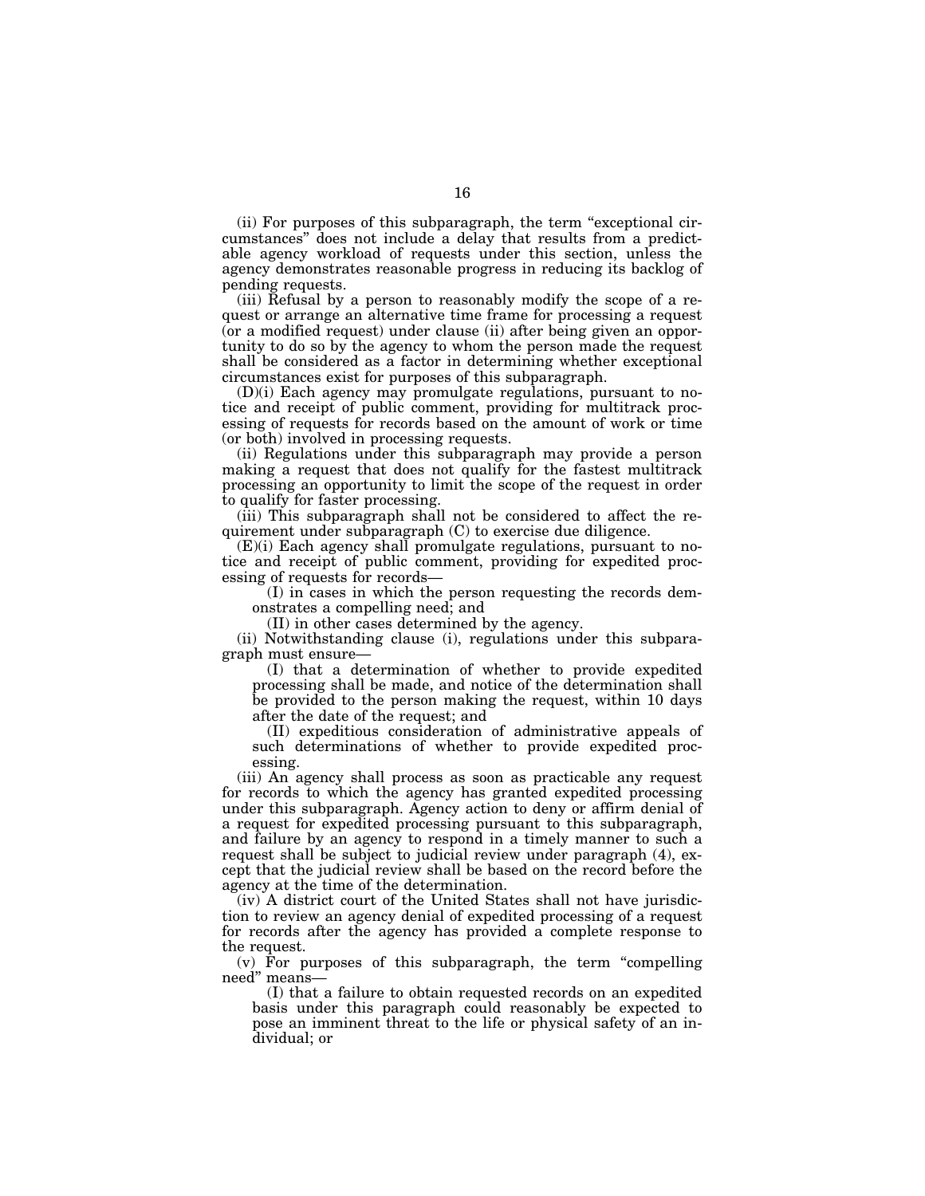(ii) For purposes of this subparagraph, the term ''exceptional circumstances'' does not include a delay that results from a predictable agency workload of requests under this section, unless the agency demonstrates reasonable progress in reducing its backlog of pending requests.

(iii) Refusal by a person to reasonably modify the scope of a request or arrange an alternative time frame for processing a request (or a modified request) under clause (ii) after being given an opportunity to do so by the agency to whom the person made the request shall be considered as a factor in determining whether exceptional circumstances exist for purposes of this subparagraph.

(D)(i) Each agency may promulgate regulations, pursuant to notice and receipt of public comment, providing for multitrack processing of requests for records based on the amount of work or time (or both) involved in processing requests.

(ii) Regulations under this subparagraph may provide a person making a request that does not qualify for the fastest multitrack processing an opportunity to limit the scope of the request in order to qualify for faster processing.

(iii) This subparagraph shall not be considered to affect the requirement under subparagraph (C) to exercise due diligence.

(E)(i) Each agency shall promulgate regulations, pursuant to notice and receipt of public comment, providing for expedited processing of requests for records—

(I) in cases in which the person requesting the records demonstrates a compelling need; and

(II) in other cases determined by the agency.

(ii) Notwithstanding clause (i), regulations under this subparagraph must ensure—

(I) that a determination of whether to provide expedited processing shall be made, and notice of the determination shall be provided to the person making the request, within 10 days after the date of the request; and

(II) expeditious consideration of administrative appeals of such determinations of whether to provide expedited processing.

(iii) An agency shall process as soon as practicable any request for records to which the agency has granted expedited processing under this subparagraph. Agency action to deny or affirm denial of a request for expedited processing pursuant to this subparagraph, and failure by an agency to respond in a timely manner to such a request shall be subject to judicial review under paragraph (4), except that the judicial review shall be based on the record before the agency at the time of the determination.

(iv) A district court of the United States shall not have jurisdiction to review an agency denial of expedited processing of a request for records after the agency has provided a complete response to the request.

 $(v)$  For purposes of this subparagraph, the term "compelling" need'' means—

(I) that a failure to obtain requested records on an expedited basis under this paragraph could reasonably be expected to pose an imminent threat to the life or physical safety of an individual; or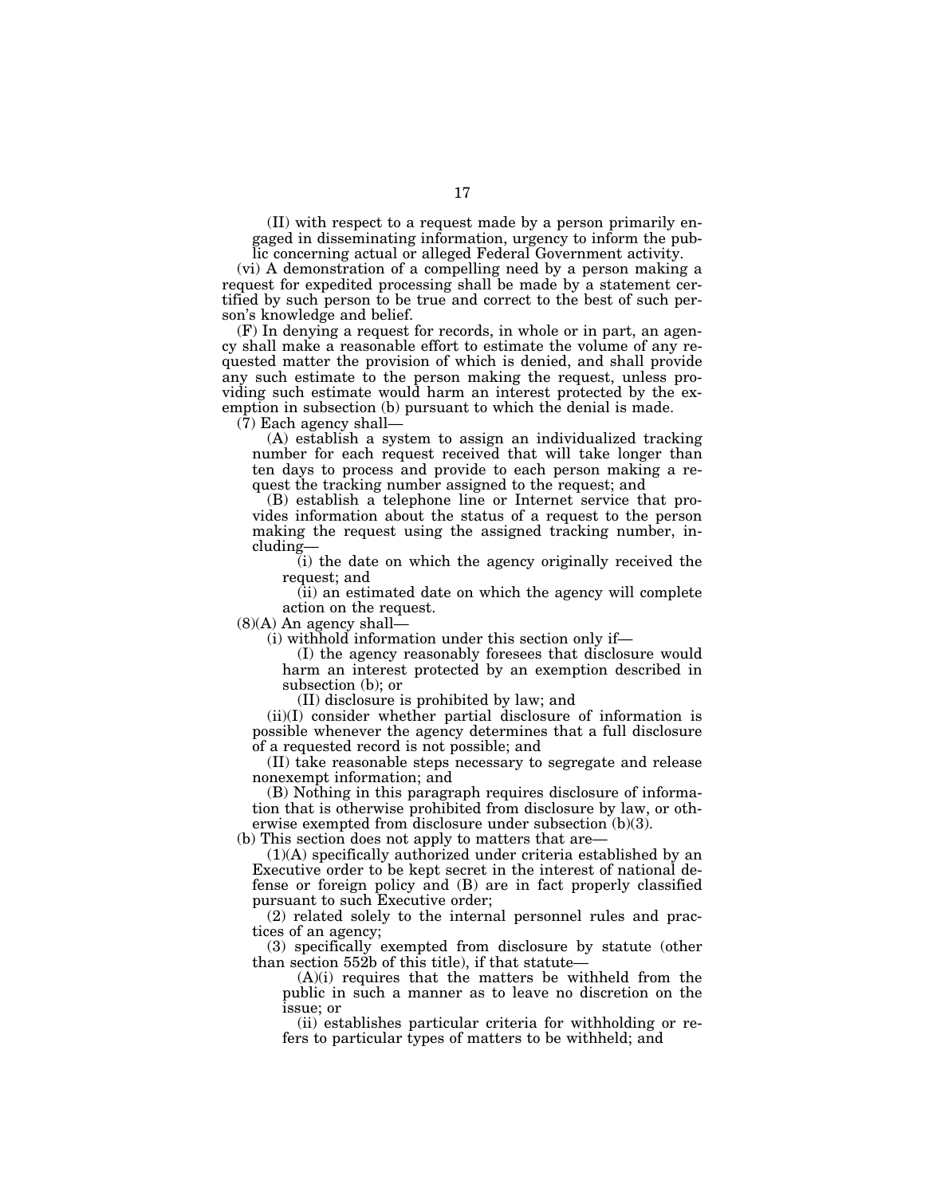(II) with respect to a request made by a person primarily engaged in disseminating information, urgency to inform the public concerning actual or alleged Federal Government activity.

(vi) A demonstration of a compelling need by a person making a request for expedited processing shall be made by a statement certified by such person to be true and correct to the best of such person's knowledge and belief.

(F) In denying a request for records, in whole or in part, an agency shall make a reasonable effort to estimate the volume of any requested matter the provision of which is denied, and shall provide any such estimate to the person making the request, unless providing such estimate would harm an interest protected by the exemption in subsection (b) pursuant to which the denial is made.

(7) Each agency shall—

(A) establish a system to assign an individualized tracking number for each request received that will take longer than ten days to process and provide to each person making a request the tracking number assigned to the request; and

(B) establish a telephone line or Internet service that provides information about the status of a request to the person making the request using the assigned tracking number, including—

(i) the date on which the agency originally received the request; and

(ii) an estimated date on which the agency will complete action on the request.

 $(8)(A)$  An agency shall—

(i) withhold information under this section only if—

(I) the agency reasonably foresees that disclosure would harm an interest protected by an exemption described in subsection (b); or

(II) disclosure is prohibited by law; and

(ii)(I) consider whether partial disclosure of information is possible whenever the agency determines that a full disclosure of a requested record is not possible; and

(II) take reasonable steps necessary to segregate and release nonexempt information; and

(B) Nothing in this paragraph requires disclosure of information that is otherwise prohibited from disclosure by law, or otherwise exempted from disclosure under subsection (b)(3).

(b) This section does not apply to matters that are—

(1)(A) specifically authorized under criteria established by an Executive order to be kept secret in the interest of national defense or foreign policy and (B) are in fact properly classified pursuant to such Executive order;

(2) related solely to the internal personnel rules and practices of an agency;

(3) specifically exempted from disclosure by statute (other than section 552b of this title), if that statute—

(A)(i) requires that the matters be withheld from the public in such a manner as to leave no discretion on the issue; or

(ii) establishes particular criteria for withholding or refers to particular types of matters to be withheld; and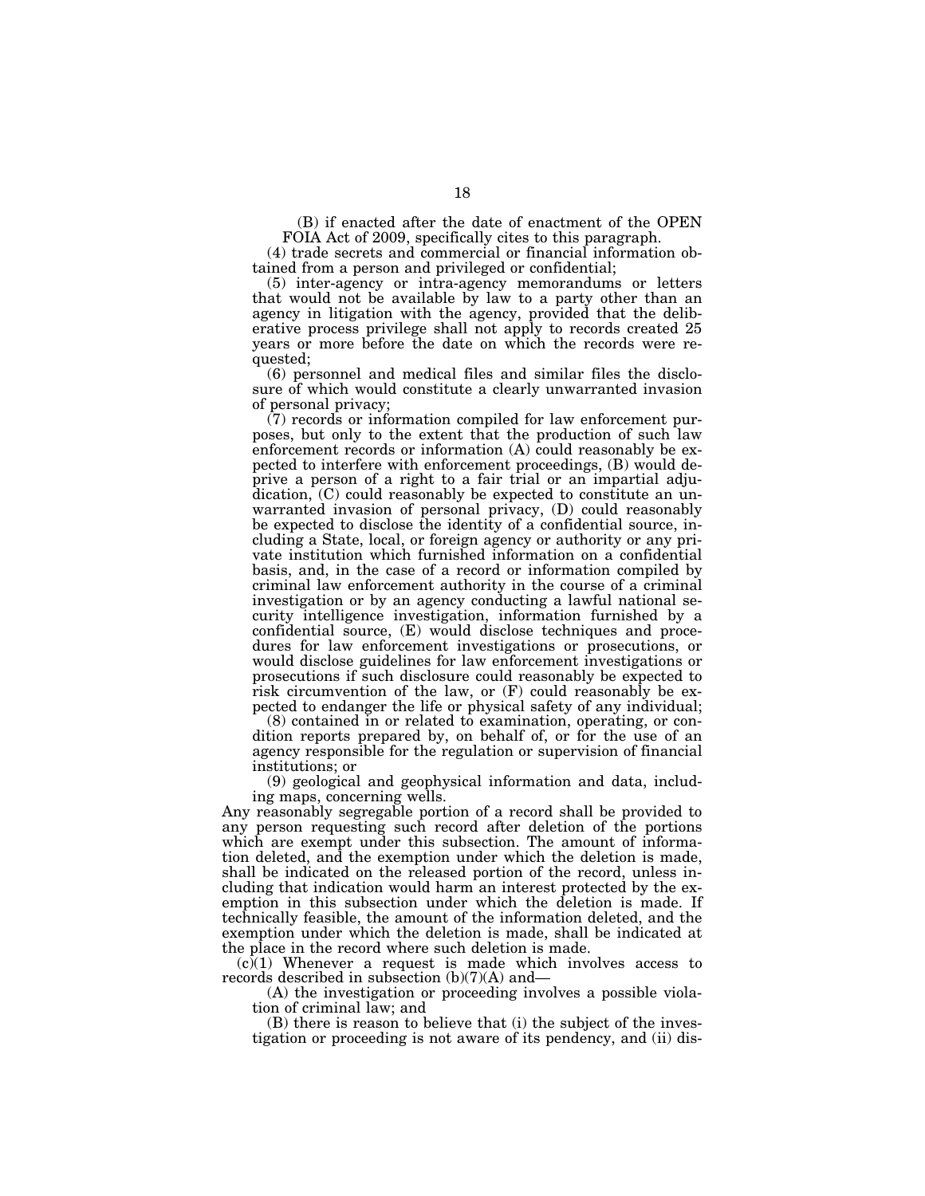(B) if enacted after the date of enactment of the OPEN FOIA Act of 2009, specifically cites to this paragraph.

(4) trade secrets and commercial or financial information obtained from a person and privileged or confidential;

(5) inter-agency or intra-agency memorandums or letters that would not be available by law to a party other than an agency in litigation with the agency, provided that the deliberative process privilege shall not apply to records created 25 years or more before the date on which the records were requested;

(6) personnel and medical files and similar files the disclosure of which would constitute a clearly unwarranted invasion of personal privacy;

(7) records or information compiled for law enforcement purposes, but only to the extent that the production of such law enforcement records or information (A) could reasonably be expected to interfere with enforcement proceedings, (B) would deprive a person of a right to a fair trial or an impartial adjudication, (C) could reasonably be expected to constitute an unwarranted invasion of personal privacy, (D) could reasonably be expected to disclose the identity of a confidential source, including a State, local, or foreign agency or authority or any private institution which furnished information on a confidential basis, and, in the case of a record or information compiled by criminal law enforcement authority in the course of a criminal investigation or by an agency conducting a lawful national security intelligence investigation, information furnished by a confidential source, (E) would disclose techniques and procedures for law enforcement investigations or prosecutions, or would disclose guidelines for law enforcement investigations or prosecutions if such disclosure could reasonably be expected to risk circumvention of the law, or  $(F)$  could reasonably be expected to endanger the life or physical safety of any individual;

(8) contained in or related to examination, operating, or condition reports prepared by, on behalf of, or for the use of an agency responsible for the regulation or supervision of financial institutions; or

(9) geological and geophysical information and data, including maps, concerning wells.

Any reasonably segregable portion of a record shall be provided to any person requesting such record after deletion of the portions which are exempt under this subsection. The amount of information deleted, and the exemption under which the deletion is made, shall be indicated on the released portion of the record, unless including that indication would harm an interest protected by the exemption in this subsection under which the deletion is made. If technically feasible, the amount of the information deleted, and the exemption under which the deletion is made, shall be indicated at the place in the record where such deletion is made.

 $(c)(1)$  Whenever a request is made which involves access to records described in subsection (b)(7)(A) and—

(A) the investigation or proceeding involves a possible violation of criminal law; and

(B) there is reason to believe that (i) the subject of the investigation or proceeding is not aware of its pendency, and (ii) dis-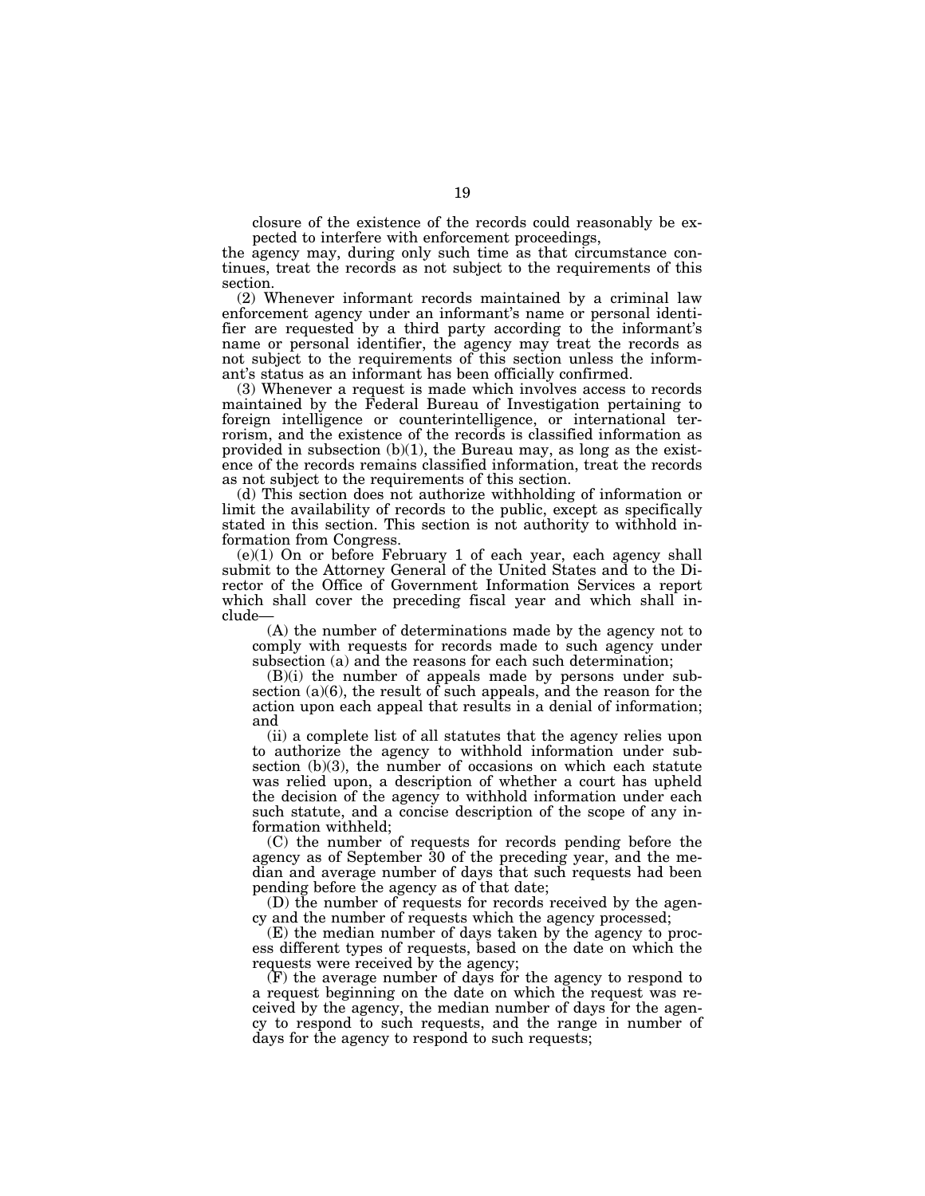closure of the existence of the records could reasonably be expected to interfere with enforcement proceedings,

the agency may, during only such time as that circumstance continues, treat the records as not subject to the requirements of this section.

(2) Whenever informant records maintained by a criminal law enforcement agency under an informant's name or personal identifier are requested by a third party according to the informant's name or personal identifier, the agency may treat the records as not subject to the requirements of this section unless the informant's status as an informant has been officially confirmed.

(3) Whenever a request is made which involves access to records maintained by the Federal Bureau of Investigation pertaining to foreign intelligence or counterintelligence, or international terrorism, and the existence of the records is classified information as provided in subsection  $(b)(1)$ , the Bureau may, as long as the existence of the records remains classified information, treat the records as not subject to the requirements of this section.

(d) This section does not authorize withholding of information or limit the availability of records to the public, except as specifically stated in this section. This section is not authority to withhold information from Congress.

(e)(1) On or before February 1 of each year, each agency shall submit to the Attorney General of the United States and to the Director of the Office of Government Information Services a report which shall cover the preceding fiscal year and which shall include—

(A) the number of determinations made by the agency not to comply with requests for records made to such agency under subsection (a) and the reasons for each such determination;

(B)(i) the number of appeals made by persons under subsection (a)(6), the result of such appeals, and the reason for the action upon each appeal that results in a denial of information; and

(ii) a complete list of all statutes that the agency relies upon to authorize the agency to withhold information under subsection (b)(3), the number of occasions on which each statute was relied upon, a description of whether a court has upheld the decision of the agency to withhold information under each such statute, and a concise description of the scope of any information withheld;

(C) the number of requests for records pending before the agency as of September 30 of the preceding year, and the median and average number of days that such requests had been pending before the agency as of that date;

(D) the number of requests for records received by the agency and the number of requests which the agency processed;

(E) the median number of days taken by the agency to process different types of requests, based on the date on which the requests were received by the agency;

(F) the average number of days for the agency to respond to a request beginning on the date on which the request was received by the agency, the median number of days for the agency to respond to such requests, and the range in number of days for the agency to respond to such requests;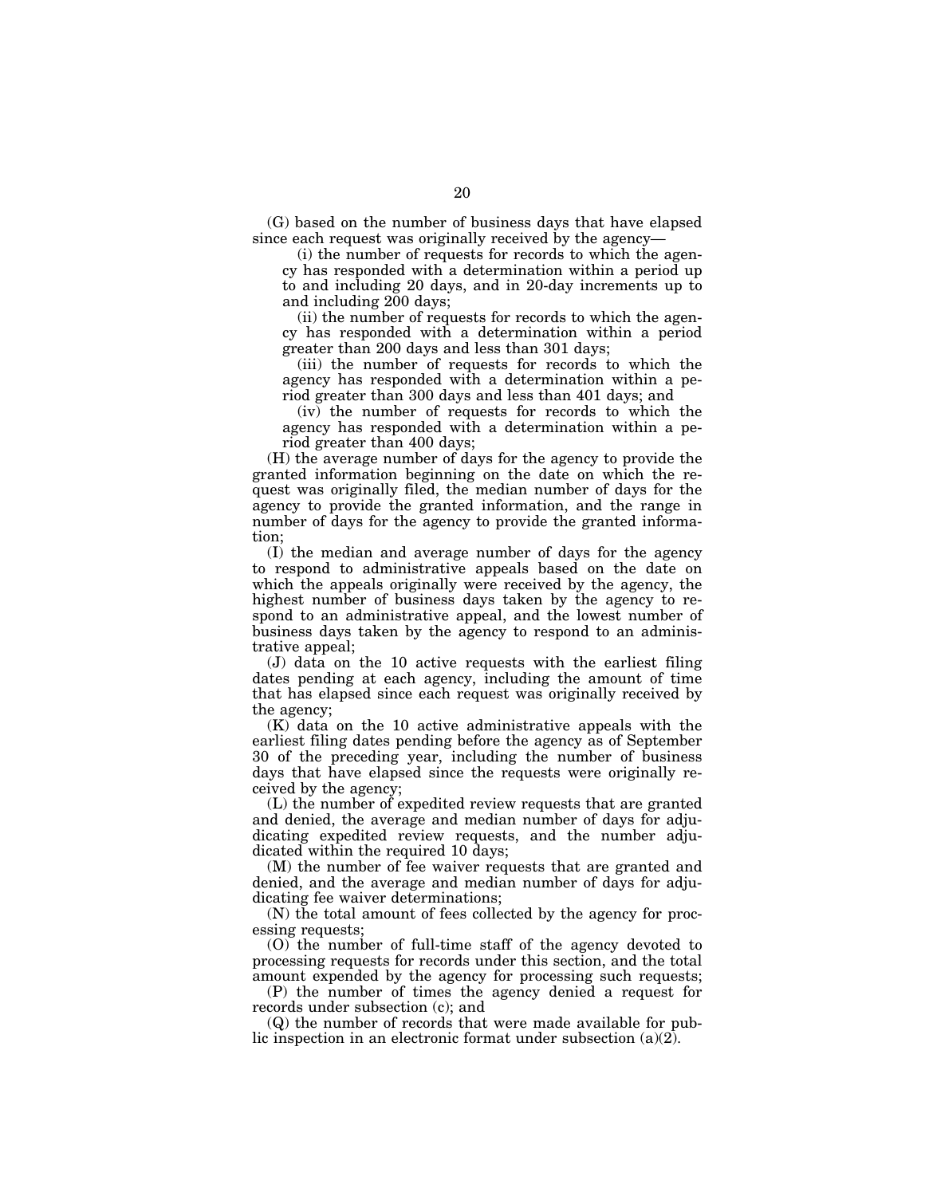(G) based on the number of business days that have elapsed since each request was originally received by the agency—

(i) the number of requests for records to which the agency has responded with a determination within a period up to and including 20 days, and in 20-day increments up to and including 200 days;

(ii) the number of requests for records to which the agency has responded with a determination within a period greater than 200 days and less than 301 days;

(iii) the number of requests for records to which the agency has responded with a determination within a period greater than 300 days and less than 401 days; and

(iv) the number of requests for records to which the agency has responded with a determination within a period greater than 400 days;

(H) the average number of days for the agency to provide the granted information beginning on the date on which the request was originally filed, the median number of days for the agency to provide the granted information, and the range in number of days for the agency to provide the granted information;

(I) the median and average number of days for the agency to respond to administrative appeals based on the date on which the appeals originally were received by the agency, the highest number of business days taken by the agency to respond to an administrative appeal, and the lowest number of business days taken by the agency to respond to an administrative appeal;

(J) data on the 10 active requests with the earliest filing dates pending at each agency, including the amount of time that has elapsed since each request was originally received by the agency;

(K) data on the 10 active administrative appeals with the earliest filing dates pending before the agency as of September 30 of the preceding year, including the number of business days that have elapsed since the requests were originally received by the agency;

(L) the number of expedited review requests that are granted and denied, the average and median number of days for adjudicating expedited review requests, and the number adjudicated within the required 10 days;

(M) the number of fee waiver requests that are granted and denied, and the average and median number of days for adjudicating fee waiver determinations;

(N) the total amount of fees collected by the agency for processing requests;

(O) the number of full-time staff of the agency devoted to processing requests for records under this section, and the total amount expended by the agency for processing such requests;

(P) the number of times the agency denied a request for records under subsection (c); and

(Q) the number of records that were made available for public inspection in an electronic format under subsection  $(a)(2)$ .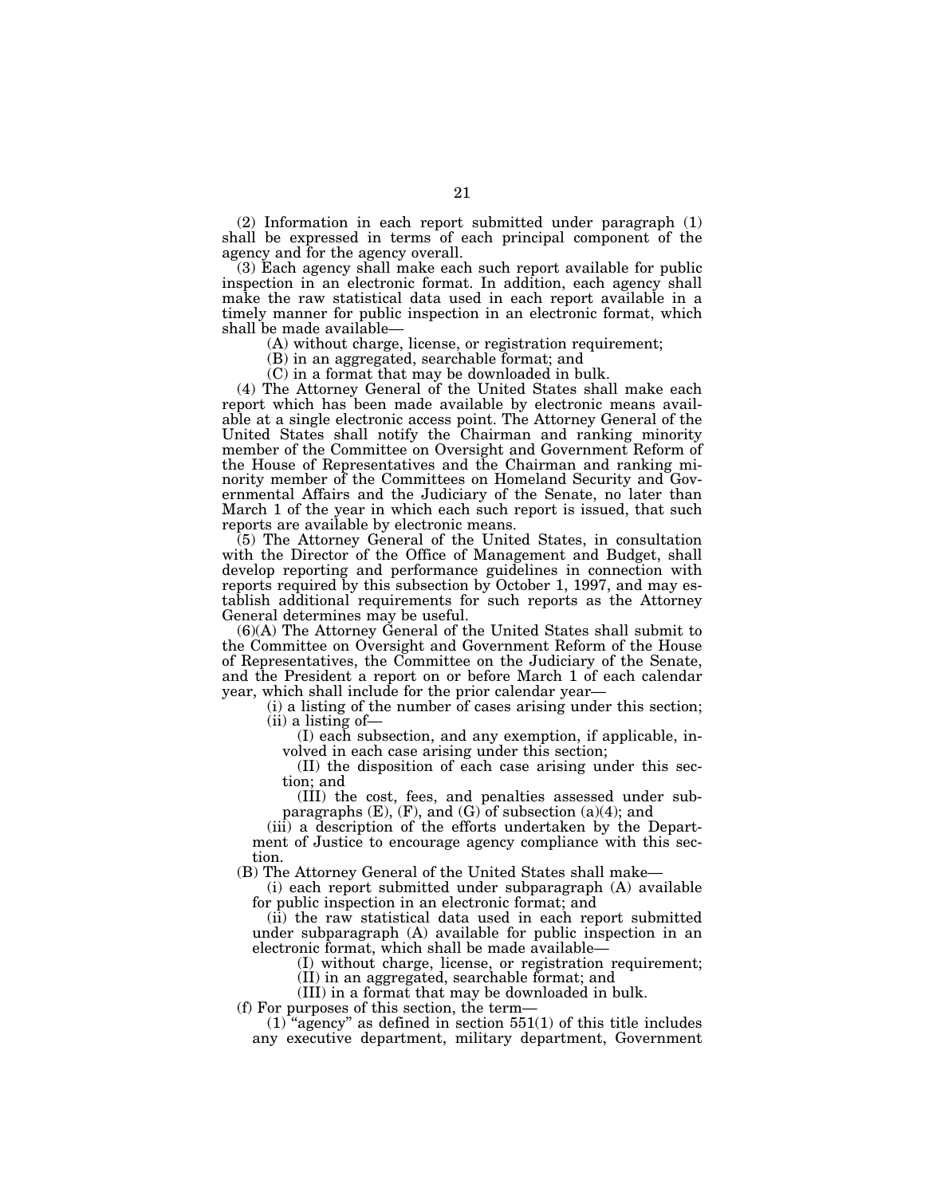(2) Information in each report submitted under paragraph (1) shall be expressed in terms of each principal component of the agency and for the agency overall.

(3) Each agency shall make each such report available for public inspection in an electronic format. In addition, each agency shall make the raw statistical data used in each report available in a timely manner for public inspection in an electronic format, which shall be made available—

(A) without charge, license, or registration requirement;

(B) in an aggregated, searchable format; and

(C) in a format that may be downloaded in bulk.

(4) The Attorney General of the United States shall make each report which has been made available by electronic means available at a single electronic access point. The Attorney General of the United States shall notify the Chairman and ranking minority member of the Committee on Oversight and Government Reform of the House of Representatives and the Chairman and ranking minority member of the Committees on Homeland Security and Governmental Affairs and the Judiciary of the Senate, no later than March 1 of the year in which each such report is issued, that such reports are available by electronic means.

(5) The Attorney General of the United States, in consultation with the Director of the Office of Management and Budget, shall develop reporting and performance guidelines in connection with reports required by this subsection by October 1, 1997, and may establish additional requirements for such reports as the Attorney General determines may be useful.

(6)(A) The Attorney General of the United States shall submit to the Committee on Oversight and Government Reform of the House of Representatives, the Committee on the Judiciary of the Senate, and the President a report on or before March 1 of each calendar year, which shall include for the prior calendar year—

(i) a listing of the number of cases arising under this section; (ii) a listing of—

(I) each subsection, and any exemption, if applicable, involved in each case arising under this section;

(II) the disposition of each case arising under this section; and

(III) the cost, fees, and penalties assessed under subparagraphs  $(E)$ ,  $(F)$ , and  $(G)$  of subsection  $(a)(4)$ ; and

(iii) a description of the efforts undertaken by the Department of Justice to encourage agency compliance with this section.

(B) The Attorney General of the United States shall make—

(i) each report submitted under subparagraph (A) available for public inspection in an electronic format; and

(ii) the raw statistical data used in each report submitted under subparagraph (A) available for public inspection in an electronic format, which shall be made available—

(I) without charge, license, or registration requirement;

(II) in an aggregated, searchable format; and

(III) in a format that may be downloaded in bulk.

(f) For purposes of this section, the term—

 $(1)$  "agency" as defined in section 551(1) of this title includes any executive department, military department, Government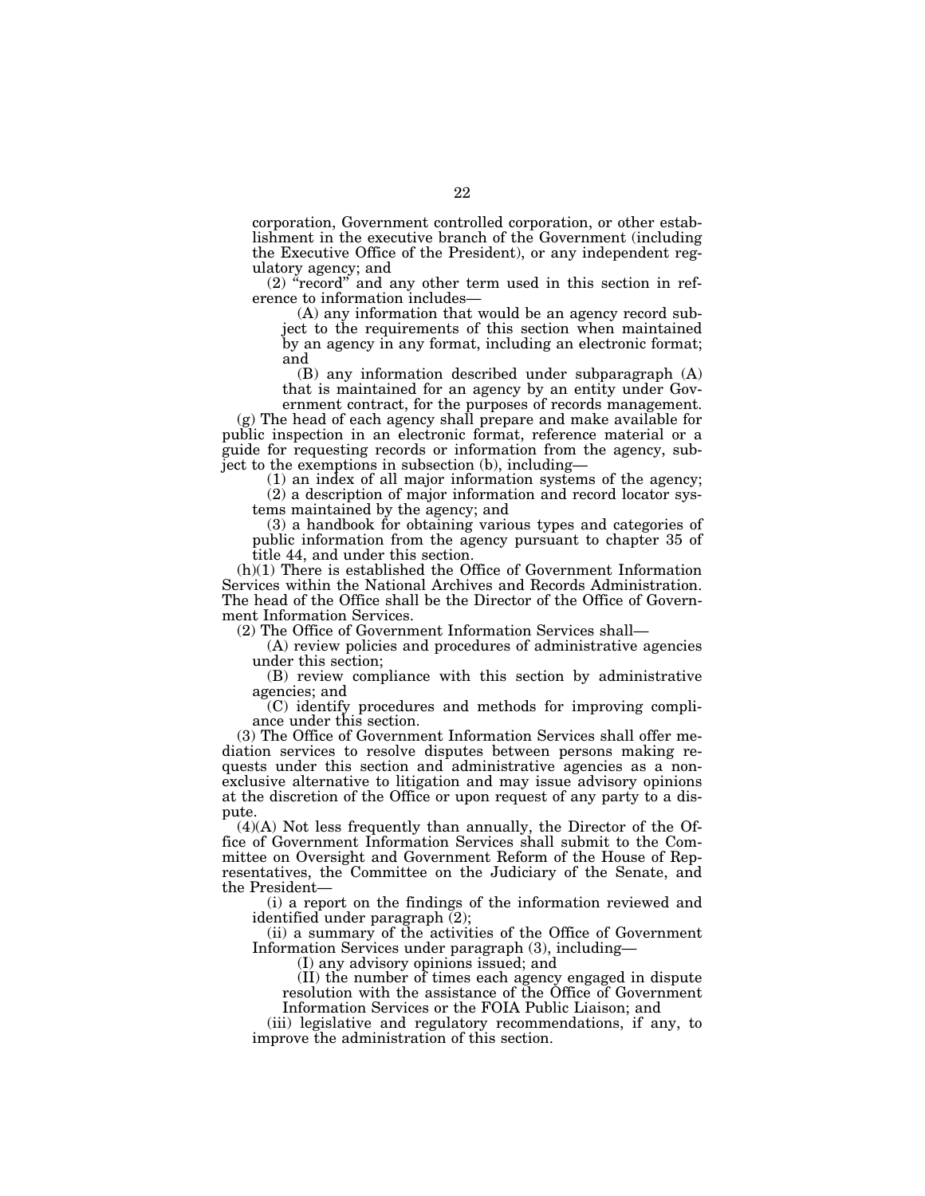corporation, Government controlled corporation, or other establishment in the executive branch of the Government (including the Executive Office of the President), or any independent regulatory agency; and

 $(2)$  "record" and any other term used in this section in reference to information includes—

(A) any information that would be an agency record subject to the requirements of this section when maintained by an agency in any format, including an electronic format; and

(B) any information described under subparagraph (A) that is maintained for an agency by an entity under Government contract, for the purposes of records management.

(g) The head of each agency shall prepare and make available for public inspection in an electronic format, reference material or a guide for requesting records or information from the agency, subject to the exemptions in subsection (b), including—

(1) an index of all major information systems of the agency; (2) a description of major information and record locator systems maintained by the agency; and

(3) a handbook for obtaining various types and categories of public information from the agency pursuant to chapter 35 of title 44, and under this section.

(h)(1) There is established the Office of Government Information Services within the National Archives and Records Administration. The head of the Office shall be the Director of the Office of Government Information Services.

(2) The Office of Government Information Services shall—

(A) review policies and procedures of administrative agencies under this section;

(B) review compliance with this section by administrative agencies; and

(C) identify procedures and methods for improving compliance under this section.

(3) The Office of Government Information Services shall offer mediation services to resolve disputes between persons making requests under this section and administrative agencies as a nonexclusive alternative to litigation and may issue advisory opinions at the discretion of the Office or upon request of any party to a dispute.

(4)(A) Not less frequently than annually, the Director of the Office of Government Information Services shall submit to the Committee on Oversight and Government Reform of the House of Representatives, the Committee on the Judiciary of the Senate, and the President—

(i) a report on the findings of the information reviewed and identified under paragraph (2);

(ii) a summary of the activities of the Office of Government Information Services under paragraph (3), including—

(I) any advisory opinions issued; and

(II) the number of times each agency engaged in dispute resolution with the assistance of the Office of Government Information Services or the FOIA Public Liaison; and

(iii) legislative and regulatory recommendations, if any, to improve the administration of this section.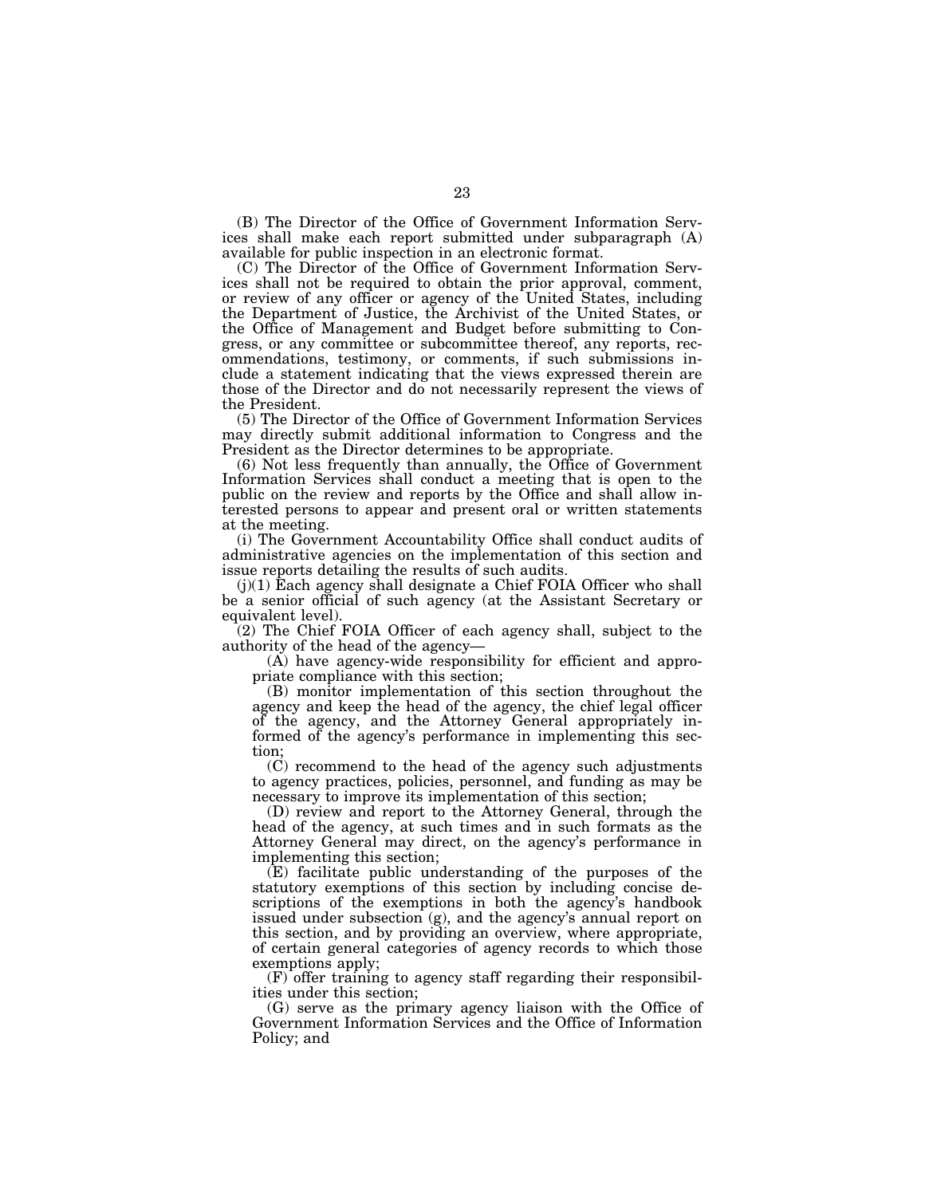(B) The Director of the Office of Government Information Services shall make each report submitted under subparagraph (A) available for public inspection in an electronic format.

(C) The Director of the Office of Government Information Services shall not be required to obtain the prior approval, comment, or review of any officer or agency of the United States, including the Department of Justice, the Archivist of the United States, or the Office of Management and Budget before submitting to Congress, or any committee or subcommittee thereof, any reports, recommendations, testimony, or comments, if such submissions include a statement indicating that the views expressed therein are those of the Director and do not necessarily represent the views of the President.

(5) The Director of the Office of Government Information Services may directly submit additional information to Congress and the President as the Director determines to be appropriate.

(6) Not less frequently than annually, the Office of Government Information Services shall conduct a meeting that is open to the public on the review and reports by the Office and shall allow interested persons to appear and present oral or written statements at the meeting.

(i) The Government Accountability Office shall conduct audits of administrative agencies on the implementation of this section and issue reports detailing the results of such audits.

 $(j)(1)$  Each agency shall designate a Chief FOIA Officer who shall be a senior official of such agency (at the Assistant Secretary or equivalent level).

(2) The Chief FOIA Officer of each agency shall, subject to the authority of the head of the agency—

(A) have agency-wide responsibility for efficient and appropriate compliance with this section;

(B) monitor implementation of this section throughout the agency and keep the head of the agency, the chief legal officer of the agency, and the Attorney General appropriately informed of the agency's performance in implementing this section;

 $(C)$  recommend to the head of the agency such adjustments to agency practices, policies, personnel, and funding as may be necessary to improve its implementation of this section;

(D) review and report to the Attorney General, through the head of the agency, at such times and in such formats as the Attorney General may direct, on the agency's performance in implementing this section;

(E) facilitate public understanding of the purposes of the statutory exemptions of this section by including concise descriptions of the exemptions in both the agency's handbook issued under subsection (g), and the agency's annual report on this section, and by providing an overview, where appropriate, of certain general categories of agency records to which those exemptions apply;

(F) offer training to agency staff regarding their responsibilities under this section;

(G) serve as the primary agency liaison with the Office of Government Information Services and the Office of Information Policy; and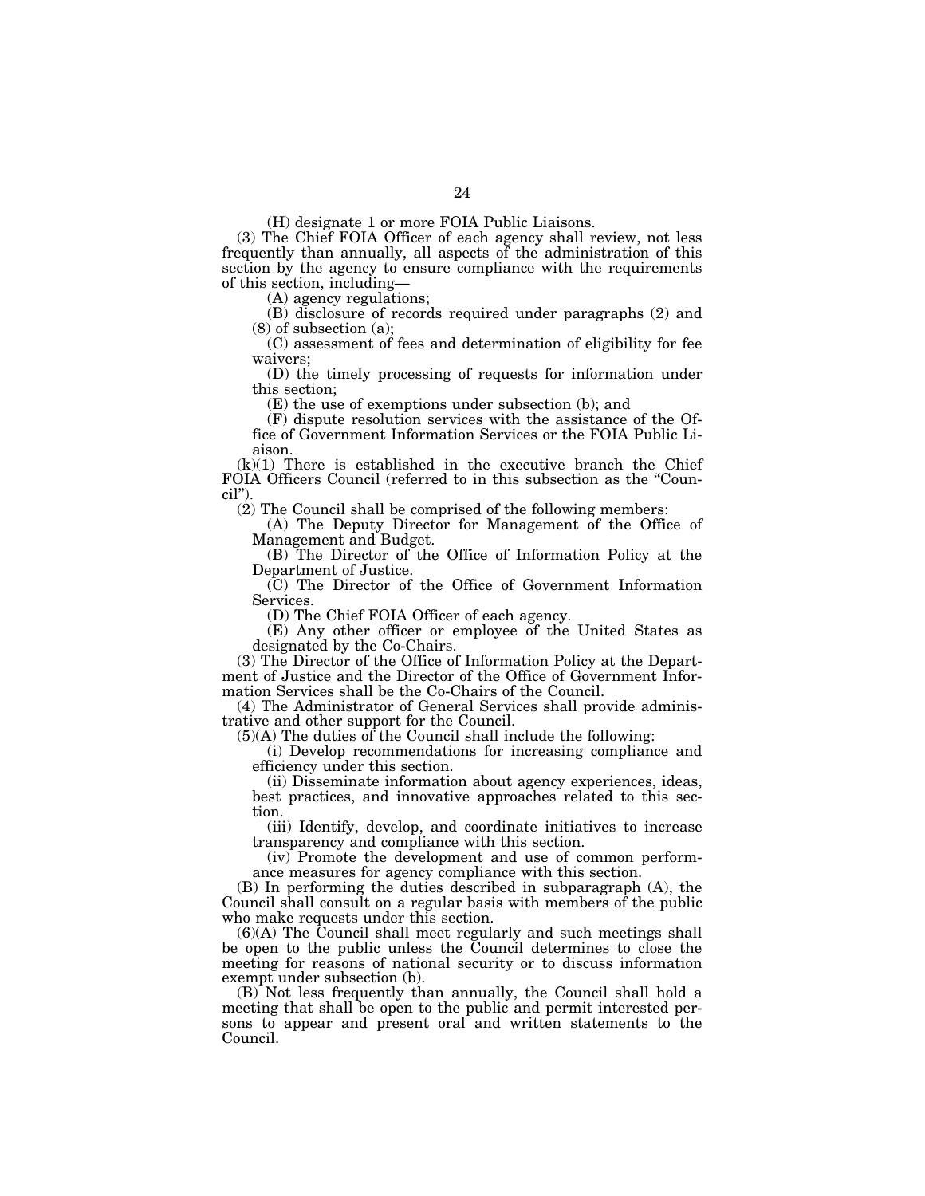(H) designate 1 or more FOIA Public Liaisons.

(3) The Chief FOIA Officer of each agency shall review, not less frequently than annually, all aspects of the administration of this section by the agency to ensure compliance with the requirements of this section, including—

(A) agency regulations;

(B) disclosure of records required under paragraphs (2) and (8) of subsection (a);

(C) assessment of fees and determination of eligibility for fee waivers;

(D) the timely processing of requests for information under this section;

(E) the use of exemptions under subsection (b); and

(F) dispute resolution services with the assistance of the Office of Government Information Services or the FOIA Public Liaison.

 $(k)(1)$  There is established in the executive branch the Chief FOIA Officers Council (referred to in this subsection as the "Council'').

(2) The Council shall be comprised of the following members:

(A) The Deputy Director for Management of the Office of Management and Budget.

(B) The Director of the Office of Information Policy at the Department of Justice.

(C) The Director of the Office of Government Information Services.

(D) The Chief FOIA Officer of each agency.

(E) Any other officer or employee of the United States as designated by the Co-Chairs.

(3) The Director of the Office of Information Policy at the Department of Justice and the Director of the Office of Government Information Services shall be the Co-Chairs of the Council.

(4) The Administrator of General Services shall provide administrative and other support for the Council.

(5)(A) The duties of the Council shall include the following:

(i) Develop recommendations for increasing compliance and efficiency under this section.

(ii) Disseminate information about agency experiences, ideas, best practices, and innovative approaches related to this section.

(iii) Identify, develop, and coordinate initiatives to increase transparency and compliance with this section.

(iv) Promote the development and use of common performance measures for agency compliance with this section.

(B) In performing the duties described in subparagraph (A), the Council shall consult on a regular basis with members of the public who make requests under this section.

(6)(A) The Council shall meet regularly and such meetings shall be open to the public unless the Council determines to close the meeting for reasons of national security or to discuss information exempt under subsection (b).

(B) Not less frequently than annually, the Council shall hold a meeting that shall be open to the public and permit interested persons to appear and present oral and written statements to the Council.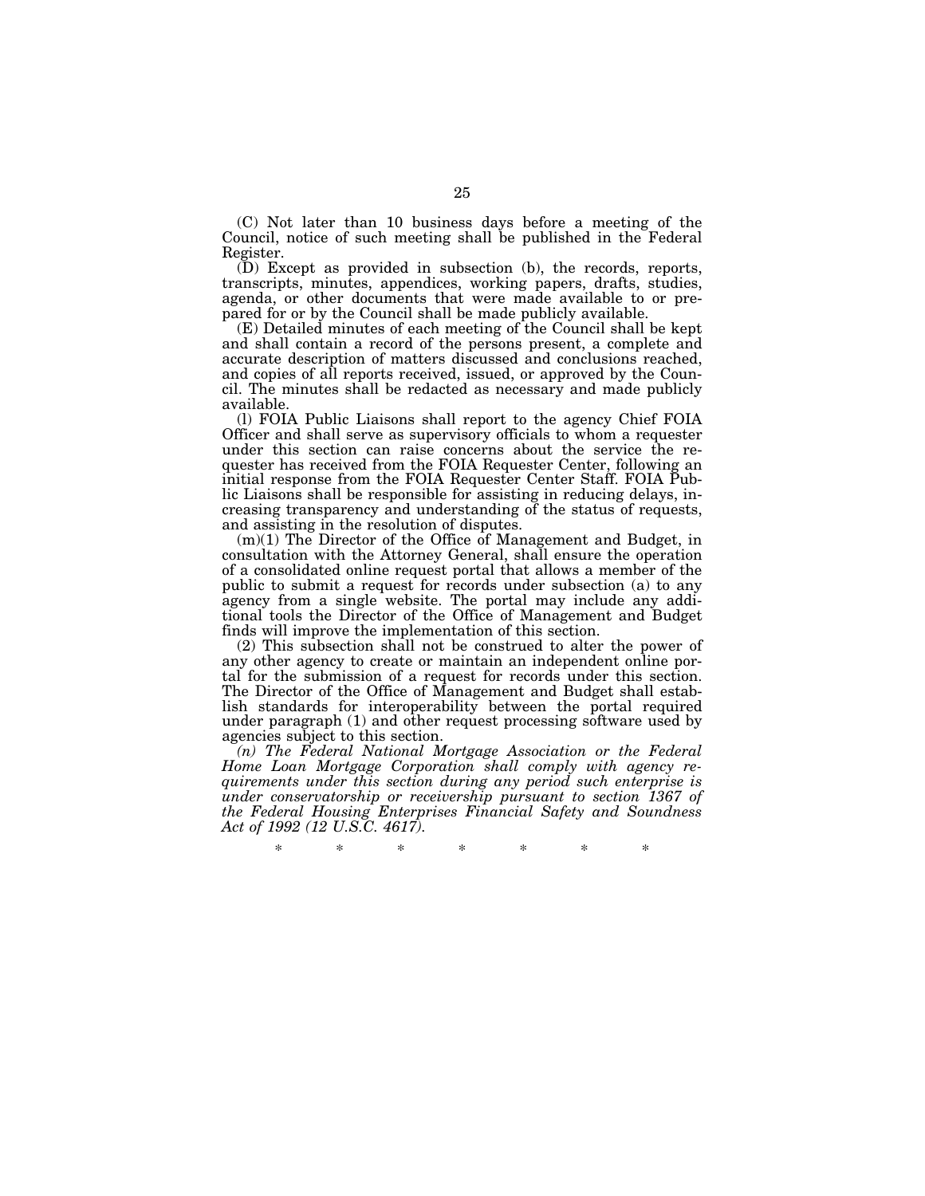(C) Not later than 10 business days before a meeting of the Council, notice of such meeting shall be published in the Federal Register.

(D) Except as provided in subsection (b), the records, reports, transcripts, minutes, appendices, working papers, drafts, studies, agenda, or other documents that were made available to or prepared for or by the Council shall be made publicly available.

(E) Detailed minutes of each meeting of the Council shall be kept and shall contain a record of the persons present, a complete and accurate description of matters discussed and conclusions reached, and copies of all reports received, issued, or approved by the Council. The minutes shall be redacted as necessary and made publicly available.

(l) FOIA Public Liaisons shall report to the agency Chief FOIA Officer and shall serve as supervisory officials to whom a requester under this section can raise concerns about the service the requester has received from the FOIA Requester Center, following an initial response from the FOIA Requester Center Staff. FOIA Public Liaisons shall be responsible for assisting in reducing delays, increasing transparency and understanding of the status of requests, and assisting in the resolution of disputes.

(m)(1) The Director of the Office of Management and Budget, in consultation with the Attorney General, shall ensure the operation of a consolidated online request portal that allows a member of the public to submit a request for records under subsection (a) to any agency from a single website. The portal may include any additional tools the Director of the Office of Management and Budget finds will improve the implementation of this section.

(2) This subsection shall not be construed to alter the power of any other agency to create or maintain an independent online portal for the submission of a request for records under this section. The Director of the Office of Management and Budget shall establish standards for interoperability between the portal required under paragraph (1) and other request processing software used by agencies subject to this section.

*(n) The Federal National Mortgage Association or the Federal Home Loan Mortgage Corporation shall comply with agency requirements under this section during any period such enterprise is under conservatorship or receivership pursuant to section 1367 of the Federal Housing Enterprises Financial Safety and Soundness Act of 1992 (12 U.S.C. 4617).* 

\* \* \* \* \* \* \*